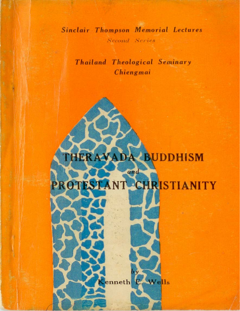# Sinclair Thompson Memorial Lectures **Second Series**

**Thailand Theological Seminary** Chiengmai

# THERAVADA BUDDHISM PROTESTANT CHRISTIANITY

enneth E. Wells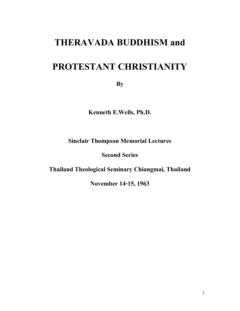# **THERAVADA BUDDHISM and**

# **PROTESTANT CHRISTIANITY**

**By** 

**Kenneth E.Wells, Ph.D.** 

**Sinclair Thompson Memorial Lectures** 

**Second Series** 

**Thailand Theological Seminary Chiangmai, Thailand** 

**November 14-15, 1963**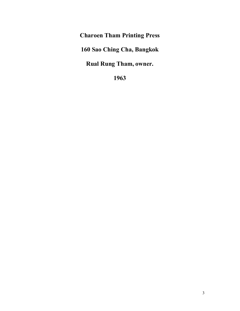# **Charoen Tham Printing Press**

**160 Sao Ching Cha, Bangkok** 

**Rual Rung Tham, owner.** 

**1963**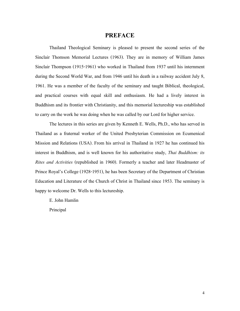## **PREFACE**

Thailand Theological Seminary is pleased to present the second series of the Sinclair Thomson Memorial Lectures (1963). They are in memory of William James Sinclair Thompson (1915-1961) who worked in Thailand from 1937 until his internment during the Second World War, and from 1946 until his death in a railway accident July 8, 1961. He was a member of the faculty of the seminary and taught Biblical, theological, and practical courses with equal skill and enthusiasm. He had a lively interest in Buddhism and its frontier with Christianity, and this memorial lectureship was established to carry on the work he was doing when he was called by our Lord for higher service.

The lectures in this series are given by Kenneth E. Wells, Ph.D., who has served in Thailand as a fraternal worker of the United Presbyterian Commission on Ecumenical Mission and Relations (USA). From his arrival in Thailand in 1927 he has continued his interest in Buddhism, and is well known for his authoritative study, *Thai Buddhism: its Rites and Activities* (republished in 1960). Formerly a teacher and later Headmaster of Prince Royal's College (1928-1951), he has been Secretary of the Department of Christian Education and Literature of the Church of Christ in Thailand since 1953. The seminary is happy to welcome Dr. Wells to this lectureship.

E. John Hamlin

Principal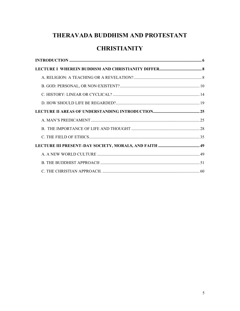# THERAVADA BUDDHISM AND PROTESTANT

# **CHRISTIANITY**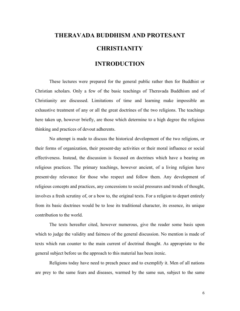# **THERAVADA BUDDHISM AND PROTESANT CHRISTIANITY**

## **INTRODUCTION**

<span id="page-5-0"></span>These lectures were prepared for the general public rather then for Buddhist or Christian scholars. Only a few of the basic teachings of Theravada Buddhism and of Christianity are discussed. Limitations of time and learning make impossible an exhaustive treatment of any or all the great doctrines of the two religions. The teachings here taken up, however briefly, are those which determine to a high degree the religious thinking and practices of devout adherents.

No attempt is made to discuss the historical development of the two religions, or their forms of organization, their present-day activities or their moral influence or social effectiveness. Instead, the discussion is focused on doctrines which have a bearing on religious practices. The primary teachings, however ancient, of a living religion have present-day relevance for those who respect and follow them. Any development of religious concepts and practices, any concessions to social pressures and trends of thought, involves a fresh scrutiny of, or a bow to, the original texts. For a religion to depart entirely from its basic doctrines would be to lose its traditional character, its essence, its unique contribution to the world.

The texts hereafter cited, however numerous, give the reader some basis upon which to judge the validity and fairness of the general discussion. No mention is made of texts which run counter to the main current of doctrinal thought. As appropriate to the general subject before us the approach to this material has been irenic.

Religions today have need to preach peace and to exemplify it. Men of all nations are prey to the same fears and diseases, warmed by the same sun, subject to the same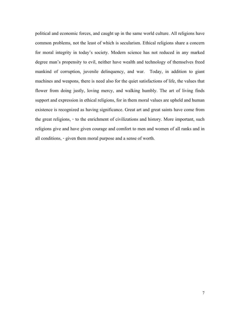political and economic forces, and caught up in the same world culture. All religions have common problems, not the least of which is secularism. Ethical religions share a concern for moral integrity in today's society. Modern science has not reduced in any marked degree man's propensity to evil, neither have wealth and technology of themselves freed mankind of corruption, juvenile delinquency, and war. Today, in addition to giant machines and weapons, there is need also for the quiet satisfactions of life, the values that flower from doing justly, loving mercy, and walking humbly. The art of living finds support and expression in ethical religions, for in them moral values are upheld and human existence is recognized as having significance. Great art and great saints have come from the great religions, - to the enrichment of civilizations and history. More important, such religions give and have given courage and comfort to men and women of all ranks and in all conditions, - given them moral purpose and a sense of worth.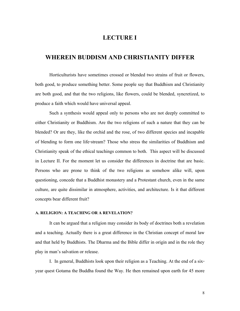## **LECTURE I**

### <span id="page-7-0"></span>**WHEREIN BUDDISM AND CHRISTIANITY DIFFER**

Horticulturists have sometimes crossed or blended two strains of fruit or flowers, both good, to produce something better. Some people say that Buddhism and Christianity are both good, and that the two religions, like flowers, could be blended, syncretized, to produce a faith which would have universal appeal.

Such a synthesis would appeal only to persons who are not deeply committed to either Christianity or Buddhism. Are the two religions of such a nature that they can be blended? Or are they, like the orchid and the rose, of two different species and incapable of blending to form one life-stream? Those who stress the similarities of Buddhism and Christianity speak of the ethical teachings common to both. This aspect will be discussed in Lecture II. For the moment let us consider the differences in doctrine that are basic. Persons who are prone to think of the two religions as somehow alike will, upon questioning, concede that a Buddhist monastery and a Protestant church, even in the same culture, are quite dissimilar in atmosphere, activities, and architecture. Is it that different concepts bear different fruit?

#### <span id="page-7-1"></span>**A. RELIGION: A TEACHING OR A REVELATION?**

It can be argued that a religion may consider its body of doctrines both a revelation and a teaching. Actually there is a great difference in the Christian concept of moral law and that held by Buddhists. The Dharma and the Bible differ in origin and in the role they play in man's salvation or release.

I. In general, Buddhists look upon their religion as a Teaching. At the end of a sixyear quest Gotama the Buddha found the Way. He then remained upon earth for 45 more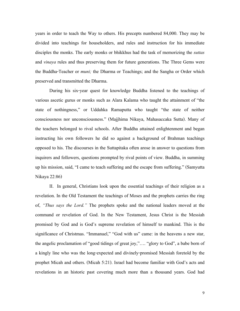years in order to teach the Way to others. His precepts numbered 84,000. They may be divided into teachings for householders, and rules and instruction for his immediate disciples the monks. The early monks or bhikkhus had the task of memorizing the *suttas* and *vinaya* rules and thus preserving them for future generations. The Three Gems were the Buddha-Teacher or *muni;* the Dharma or Teachings; and the Sangha or Order which preserved and transmitted the Dharma.

During his six-year quest for knowledge Buddha listened to the teachings of various ascetic gurus or monks such as Alara Kalama who taught the attainment of "the state of nothingness," or Uddahka Ramaputta who taught "the state of neither consciousness nor unconsciousness." (Majjhima Nikaya, Mahasaccaka Sutta). Many of the teachers belonged to rival schools. After Buddha attained enlightenment and began instructing his own followers he did so against a background of Brahman teachings opposed to his. The discourses in the Suttapitaka often arose in answer to questions from inquirers and followers, questions prompted by rival points of view. Buddha, in summing up his mission, said, "I came to teach suffering and the escape from suffering." (Samyutta Nikaya 22:86)

II. In general, Christians look upon the essential teachings of their religion as a revelation. In the Old Testament the teachings of Moses and the prophets carries the ring of, *"Thus says the Lord."* The prophets spoke and the national leaders moved at the command or revelation of God. In the New Testament, Jesus Christ is the Messiah promised by God and is God's supreme revelation of himself to mankind. This is the significance of Christmas. "Immanuel," "God with us" came: in the heavens a new star, the angelic proclamation of "good tidings of great joy,"…. "glory to God", a babe born of a kingly line who was the long-expected and divinely-promised Messiah foretold by the prophet Micah and others. (Micah 5:21). Israel had become familiar with God's acts and revelations in an historic past covering much more than a thousand years. God had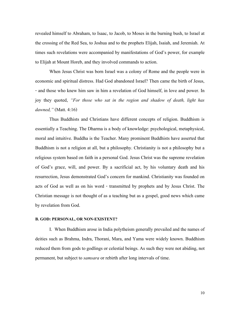revealed himself to Abraham, to Isaac, to Jacob, to Moses in the burning bush, to Israel at the crossing of the Red Sea, to Joshua and to the prophets Elijah, Isaiah, and Jeremiah. At times such revelations were accompanied by manifestations of God's power, for example to Elijah at Mount Horeb, and they involved commands to action.

When Jesus Christ was born Israel was a colony of Rome and the people were in economic and spiritual distress. Had God abandoned Israel? Then came the birth of Jesus, - and those who knew him saw in him a revelation of God himself, in love and power. In joy they quoted, *"For those who sat in the region and shadow of death, light has dawned,"* (Matt. 4:16)

Thus Buddhists and Christians have different concepts of religion. Buddhism is essentially a Teaching. The Dharma is a body of knowledge: psychological, metaphysical, moral and intuitive. Buddha is the Teacher. Many prominent Buddhists have asserted that Buddhism is not a religion at all, but a philosophy. Christianity is not a philosophy but a religious system based on faith in a personal God. Jesus Christ was the supreme revelation of God's grace, will, and power. By a sacrificial act, by his voluntary death and his resurrection, Jesus demonstrated God's concern for mankind. Christianity was founded on acts of God as well as on his word - transmitted by prophets and by Jesus Christ. The Christian message is not thought of as a teaching but as a gospel, good news which came by revelation from God.

#### <span id="page-9-0"></span>**B. GOD: PERSONAL, OR NON-EXISTENT?**

I. When Buddhism arose in India polytheism generally prevailed and the names of deities such as Brahma, Indra, Thorani, Mara, and Yama were widely known. Buddhism reduced them from gods to godlings or celestial beings. As such they were not abiding, not permanent, but subject to *samsara* or rebirth after long intervals of time.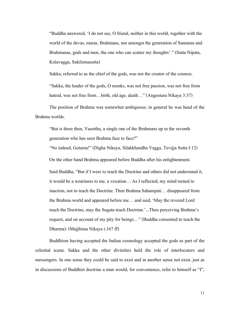"Buddha answered, 'I do not see, O friend, neither in this world, together with the world of the devas, maras, Brahmans, nor amongst the generation of Samanas and Brahmanas, gods and men, the one who can scatter my thoughts'." (Sutta Nipata, Kulavagga, Sukilomasutta)

Sakka, referred to as the chief of the gods, was not the creator of the cosmos.

"Sakka, the leader of the gods, O monks, was not free passion, was not free from hatred, was not free from...birth, old age, death..." (Angostura Nikaya 3:37)

The position of Brahma was somewhat ambiguous; in general he was head of the Brahma worlds.

"But is there then, Vasettha, a single one of the Brahmans up to the seventh generation who has seen Brahma face to face?"

"No indeed, Gotama!" (Digha Nikaya, Silakkhandha Vagga, Tevijja Sutta I:12)

On the other hand Brahma appeared before Buddha after his enlightenment.

Said Buddha, "But if I were to teach the Doctrine and others did not understand it, it would be a weariness to me, a vexation… As I reflected, my mind turned to inaction, not to teach the Doctrine. Then Brahma Sahampati… disappeared from the Brahma world and appeared before me… and said, 'May the revered Lord teach the Doctrine, may the Sugata teach Doctrine.'...Then perceiving Brahma's request, and on account of my pity for beings…" (Buddha consented to teach the Dharma). (Majjhima Nikaya i:167 ff)

Buddhism having accepted the Indian cosmology accepted the gods as part of the celestial scene. Sakka and the other divinities held the role of interlocutors and messengers. In one sense they could be said to exist and in another sense not exist, just as in discussions of Buddhist doctrine a man would, for convenience, refer to himself as "I",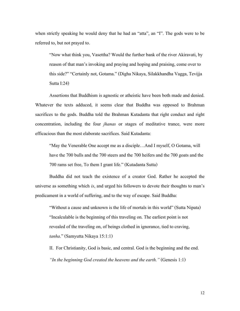when strictly speaking he would deny that he had an "atta", an "I". The gods were to be referred to, but not prayed to.

"Now what think you, Vasettha? Would the further bank of the river Akiravati, by reason of that man's invoking and praying and hoping and praising, come over to this side?" "Certainly not, Gotama." (Digha Nikaya, Silakkhandha Vagga, Tevijja Sutta I:24)

Assertions that Buddhism is agnostic or atheistic have been both made and denied. Whatever the texts adduced, it seems clear that Buddha was opposed to Brahman sacrifices to the gods. Buddha told the Brahman Kutadanta that right conduct and right concentration, including the four *jhanas* or stages of meditative trance, were more efficacious than the most elaborate sacrifices. Said Kutadanta:

"May the Venerable One accept me as a disciple…And I myself, O Gotama, will have the 700 bulls and the 700 steers and the 700 heifers and the 700 goats and the 700 rams set free, To them I grant life." (Kutadanta Sutta)

Buddha did not teach the existence of a creator God. Rather he accepted the universe as something which *is*, and urged his followers to devote their thoughts to man's predicament in a world of suffering, and to the way of escape. Said Buddha:

"Without a cause and unknown is the life of mortals in this world" (Sutta Nipata) "Incalculable is the beginning of this traveling on. The earliest point is not revealed of the traveling on, of beings clothed in ignorance, tied to craving, *tanha*." (Samyutta Nikaya 15:1:1)

II. For Christianity, God is basic, and central. God is the beginning and the end. *"In the beginning God created the heavens and the earth."* (Genesis 1:1)

12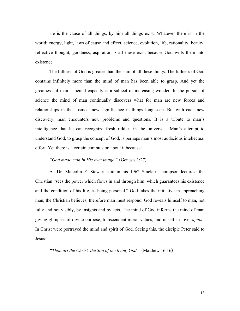He is the cause of all things, by him all things exist. Whatever there is in the world: energy, light, laws of cause and effect, science, evolution, life, rationality, beauty, reflective thought, goodness, aspiration, - all these exist because God wills them into existence.

The fullness of God is greater than the sum of all these things. The fullness of God contains infinitely more than the mind of man has been able to grasp. And yet the greatness of man's mental capacity is a subject of increasing wonder. In the pursuit of science the mind of man continually discovers what for man are new forces and relationships in the cosmos, new significance in things long seen. But with each new discovery, man encounters new problems and questions. It is a tribute to man's intelligence that he can recognize fresh riddles in the universe. Man's attempt to understand God, to grasp the concept of God, is perhaps man's most audacious intellectual effort. Yet there is a certain compulsion about it because:

#### *"God made man in His own image."* (Genesis 1:27)

As Dr. Malcolm F. Stewart said in his 1962 Sinclair Thompson lectures: the Christian "sees the power which flows in and through him, which guarantees his existence and the condition of his life, as being personal." God takes the initiative in approaching man, the Christian believes, therefore man must respond. God reveals himself to man, not fully and not visibly, by insights and by acts. The mind of God informs the mind of man giving glimpses of divine purpose, transcendent moral values, and unselfish love, *agape*. In Christ were portrayed the mind and spirit of God. Seeing this, the disciple Peter said to Jesus:

*"Thou art the Christ, the Son of the living God."* (Matthew 16:16)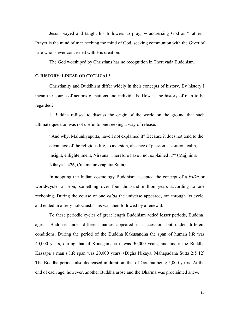Jesus prayed and taught his followers to pray, -- addressing God as "Father." Prayer is the mind of man seeking the mind of God, seeking communion with the Giver of Life who is ever concerned with His creation.

The God worshiped by Christians has no recognition in Theravada Buddhism.

#### <span id="page-13-0"></span>**C. HISTORY: LINEAR OR CYCLICAL?**

Christianity and Buddhism differ widely in their concepts of history. By history I mean the course of actions of nations and individuals. How is the history of man to be regarded?

I. Buddha refused to discuss the origin of the world on the ground that such ultimate question was not useful to one seeking a way of release.

"And why, Malunkyaputta, have I not explained it? Because it does not tend to the advantage of the religious life, to aversion, absence of passion, cessation, calm, insight, enlightenment, Nirvana. Therefore have I not explained it?" (Majjhima Nikaya 1:426, Culamalunkyaputta Sutta)

In adopting the Indian cosmology Buddhism accepted the concept of a *kalka* or world-cycle, an eon, something over four thousand million years according to one reckoning. During the course of one *kalpa* the universe appeared, ran through its cycle, and ended in a fiery holocaust. This was then followed by a renewal.

To these periodic cycles of great length Buddhism added lesser periods, Buddhaages. Buddhas under different names appeared in succession, but under different conditions. During the period of the Buddha Kakusandha the span of human life was 40,000 years, during that of Konagamana it was 30,000 years, and under the Buddha Kassapa a man's life-span was 20,000 years. (Digha Nikaya, Mahapadana Sutta 2:5-12) The Buddha periods also decreased in duration, that of Gotama being 5,000 years. At the end of each age, however, another Buddha arose and the Dharma was proclaimed anew.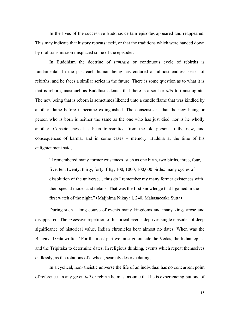In the lives of the successive Buddhas certain episodes appeared and reappeared. This may indicate that history repeats itself, or that the traditions which were handed down by oral transmission misplaced some of the episodes.

In Buddhism the doctrine of *samsara* or continuous cycle of rebirths is fundamental. In the past each human being has endured an almost endless series of rebirths, and he faces a similar series in the future. There is some question as to what it is that is reborn, inasmuch as Buddhism denies that there is a soul or *atta* to transmigrate. The new being that is reborn is sometimes likened unto a candle flame that was kindled by another flame before it became extinguished. The consensus is that the new being or person who is born is neither the same as the one who has just died, nor is he wholly another. Consciousness has been transmitted from the old person to the new, and consequences of karma, and in some cases – memory. Buddha at the time of his enlightenment said,

"I remembered many former existences, such as one birth, two births, three, four, five, ten, twenty, thirty, forty, fifty, 100, 1000, 100,000 births: many cycles of dissolution of the universe….thus do I remember my many former existences with their special modes and details. That was the first knowledge that I gained in the first watch of the night." (Majjhima Nikaya i. 240, Mahasaccaka Sutta)

During such a long course of events many kingdoms and many kings arose and disappeared. The excessive repetition of historical events deprives single episodes of deep significance of historical value. Indian chronicles bear almost no dates. When was the Bhagavad Gita written? For the most part we must go outside the Vedas, the Indian epics, and the Tripitaka to determine dates. In religious thinking, events which repeat themselves endlessly, as the rotations of a wheel, scarcely deserve dating,

In a cyclical, non- theistic universe the life of an individual has no concurrent point of reference. In any given *jati* or rebirth he must assume that he is experiencing but one of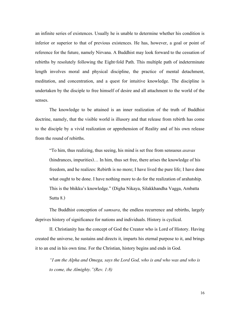an infinite series of existences. Usually he is unable to determine whether his condition is inferior or superior to that of previous existences. He has, however, a goal or point of reference for the future, namely Nirvana. A Buddhist may look forward to the cessation of rebirths by resolutely following the Eight-fold Path. This multiple path of indeterminate length involves moral and physical discipline, the practice of mental detachment, meditation, and concentration, and a quest for intuitive knowledge. The discipline is undertaken by the disciple to free himself of desire and all attachment to the world of the senses.

The knowledge to be attained is an inner realization of the truth of Buddhist doctrine, namely, that the visible world is illusory and that release from rebirth has come to the disciple by a vivid realization or apprehension of Reality and of his own release from the round of rebirths.

"To him, thus realizing, thus seeing, his mind is set free from sensuous *asavas* (hindrances, impurities)… In him, thus set free, there arises the knowledge of his freedom, and he realizes: Rebirth is no more; I have lived the pure life; I have done what ought to be done. I have nothing more to do for the realization of arahatship. This is the bhikku's knowledge." (Digha Nikaya, Silakkhandha Vagga, Ambatta Sutta 8.)

The Buddhist conception of *samsara*, the endless recurrence and rebirths, largely deprives history of significance for nations and individuals. History is cyclical.

II. Christianity has the concept of God the Creator who is Lord of History. Having created the universe, he sustains and directs it, imparts his eternal purpose to it, and brings it to an end in his own time. For the Christian, history begins and ends in God.

*"I am the Alpha and Omega, says the Lord God, who is and who was and who is to come, the Almighty."(Rev. 1:8)*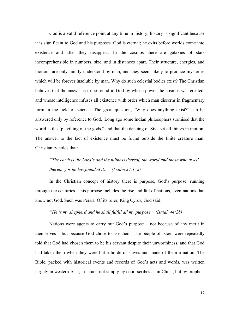God is a valid reference point at any time in history; history is significant because it is significant to God and his purposes. God is eternal; he exits before worlds come into existence and after they disappear. In the cosmos there are galaxies of stars incomprehensible in numbers, size, and in distances apart. Their structure, energies, and motions are only faintly understood by man, and they seem likely to produce mysteries which will be forever insoluble by man. Why do such celestial bodies exist? The Christian believes that the answer is to be found in God by whose power the cosmos was created, and whose intelligence infuses all existence with order which man discerns in fragmentary form in the field of science. The great question, "Why does anything exist?" can be answered only by reference to God. Long ago some Indian philosophers surmised that the world is the "plaything of the gods," and that the dancing of Siva set all things in motion. The answer to the fact of existence must be found outside the finite creature man. Christianity holds that:

*"The earth is the Lord's and the fullness thereof, the world and those who dwell therein; for he has founded it…" (Psalm 24:1, 2)* 

In the Christian concept of history there is purpose, God's purpose, running through the centuries. This purpose includes the rise and fall of nations, even nations that know not God. Such was Persia. Of its ruler, King Cyrus, God said:

#### *"He is my shepherd and he shall fulfill all my purpose." (Isaiah 44:28)*

Nations were agents to carry out God's purpose – not because of any merit in themselves – but because God chose to use them. The people of Israel were repeatedly told that God had chosen them to be his servant despite their unworthiness, and that God had taken them when they were but a horde of slaves and made of them a nation. The Bible, packed with historical events and records of God's acts and words, was written largely in western Asia, in Israel, not simply by court scribes as in China, but by prophets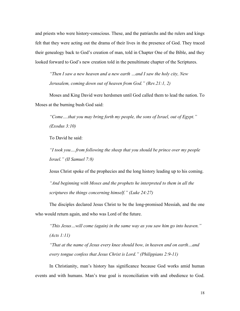and priests who were history-conscious. These, and the patriarchs and the rulers and kings felt that they were acting out the drama of their lives in the presence of God. They traced their genealogy back to God's creation of man, told in Chapter One of the Bible, and they looked forward to God's new creation told in the penultimate chapter of the Scriptures.

*"Then I saw a new heaven and a new earth …and I saw the holy city, New Jerusalem, coming down out of heaven from God." (Rev.21:1, 2)* 

Moses and King David were herdsmen until God called them to lead the nation. To Moses at the burning bush God said:

*"Come….that you may bring forth my people, the sons of Israel, out of Egypt." (Exodus 3:10)* 

To David he said:

*"I took you….from following the sheep that you should be prince over my people Israel." (II Samuel 7:8)* 

Jesus Christ spoke of the prophecies and the long history leading up to his coming.

*"And beginning with Moses and the prophets he interpreted to them in all the scriptures the things concerning himself." (Luke 24:27)* 

The disciples declared Jesus Christ to be the long-promised Messiah, and the one who would return again, and who was Lord of the future.

*"This Jesus…will come (again) in the same way as you saw him go into heaven." (Acts 1:11)* 

*"That at the name of Jesus every knee should bow, in heaven and on earth…and every tongue confess that Jesus Christ is Lord." (Philippians 2:9-11)* 

In Christianity, man's history has significance because God works amid human events and with humans. Man's true goal is reconciliation with and obedience to God.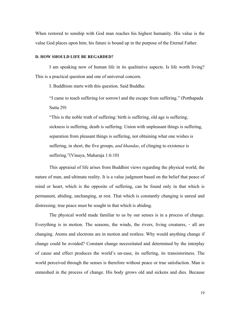When restored to sonship with God man reaches his highest humanity. His value is the value God places upon him; his future is bound up in the purpose of the Eternal Father.

#### <span id="page-18-0"></span>**D. HOW SHOULD LIFE BE REGARDED?**

I am speaking now of human life in its qualitative aspects. Is life worth living? This is a practical question and one of universal concern.

I. Buddhism starts with this question. Said Buddha:

"I came to teach suffering (or sorrow) and the escape from suffering." (Potthapada Sutta 29)

"This is the noble truth of suffering: birth is suffering, old age is suffering, sickness is suffering, death is suffering. Union with unpleasant things is suffering, separation from pleasant things is suffering, not obtaining what one wishes is suffering, in short, the five groups, *and khandas*, of clinging to existence is suffering."(Vinaya, Maharaja 1:6:10)

This appraisal of life arises from Buddhist views regarding the physical world, the nature of man, and ultimate reality. It is a value judgment based on the belief that peace of mind or heart, which is the opposite of suffering, can be found only in that which is permanent, abiding, unchanging, at rest. That which is constantly changing is unreal and distressing; true peace must be sought in that which is abiding.

The physical world made familiar to us by our senses is in a process of change. Everything is in motion. The seasons, the winds, the rivers, living creatures, - all are changing. Atoms and electrons are in motion and restless. Why would anything change if change could be avoided? Constant change necessitated and determined by the interplay of cause and effect produces the world's un-ease, its suffering, its transistoriness. The world perceived through the senses is therefore without peace or true satisfaction. Man is enmeshed in the process of change. His body grows old and sickens and dies. Because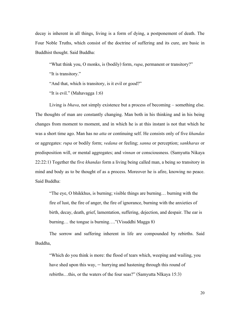decay is inherent in all things, living is a form of dying, a postponement of death. The Four Noble Truths, which consist of the doctrine of suffering and its cure, are basic in Buddhist thought. Said Buddha:

"What think you, O monks, is (bodily) form, *rupa*, permanent or transitory?" "It is transitory."

"And that, which is transitory, is it evil or good?"

"It is evil." (Mahavagga 1:6)

Living is *bhava*, not simply existence but a process of becoming – something else. The thoughts of man are constantly changing. Man both in his thinking and in his being changes from moment to moment, and in which he is at this instant is not that which he was a short time ago. Man has no *atta* or continuing self. He consists only of five *khandas* or aggregates: *rupa* or bodily form; *vedana* or feeling; *sanna* or perception; *sankharas* or predisposition will, or mental aggregates; and *vinnan* or consciousness. (Samyutta Nikaya 22:22:1) Together the five *khandas* form a living being called man, a being so transitory in mind and body as to be thought of as a process. Moreover he is afire, knowing no peace. Said Buddha:

"The eye, O bhikkhus, is burning; visible things are burning… burning with the fire of lust, the fire of anger, the fire of ignorance, burning with the anxieties of birth, decay, death, grief, lamentation, suffering, dejection, and despair. The ear is burning… the tongue is burning…."(Visuddhi Magga 8)

The sorrow and suffering inherent in life are compounded by rebirths. Said Buddha,

"Which do you think is more: the flood of tears which, weeping and wailing, you have shed upon this way, -- hurrying and hastening through this round of rebirths…this, or the waters of the four seas?" (Samyutta NIkaya 15:3)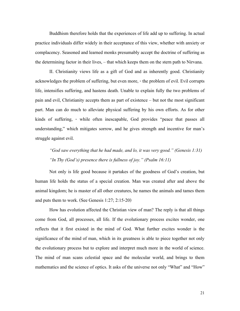Buddhism therefore holds that the experiences of life add up to suffering. In actual practice individuals differ widely in their acceptance of this view, whether with anxiety or complacency. Seasoned and learned monks presumably accept the doctrine of suffering as the determining factor in their lives, – that which keeps them on the stern path to Nirvana.

II. Christianity views life as a gift of God and as inherently good. Christianity acknowledges the problem of suffering, but even more, - the problem of evil. Evil corrupts life, intensifies suffering, and hastens death. Unable to explain fully the two problems of pain and evil, Christianity accepts them as part of existence – but not the most significant part. Man can do much to alleviate physical suffering by his own efforts. As for other kinds of suffering, - while often inescapable, God provides "peace that passes all understanding," which mitigates sorrow, and he gives strength and incentive for man's struggle against evil.

*"God saw everything that he had made, and lo, it was very good." (Genesis 1:31) "In Thy (God's) presence there is fullness of joy." (Psalm 16:11)* 

Not only is life good because it partakes of the goodness of God's creation, but human life holds the status of a special creation. Man was created after and above the animal kingdom; he is master of all other creatures, he names the animals and tames them and puts them to work. (See Genesis 1:27; 2:15-20)

How has evolution affected the Christian view of man? The reply is that all things come from God, all processes, all life. If the evolutionary process excites wonder, one reflects that it first existed in the mind of God. What further excites wonder is the significance of the mind of man, which in its greatness is able to piece together not only the evolutionary process but to explore and interpret much more in the world of science. The mind of man scans celestial space and the molecular world, and brings to them mathematics and the science of optics. It asks of the universe not only "What" and "How"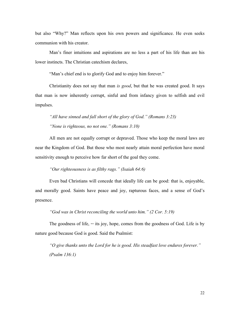but also "Why?" Man reflects upon his own powers and significance. He even seeks communion with his creator.

Man's finer intuitions and aspirations are no less a part of his life than are his lower instincts. The Christian catechism declares,

"Man's chief end is to glorify God and to enjoy him forever."

Christianity does not say that man *is good*, but that he was created good. It says that man is now inherently corrupt, sinful and from infancy given to selfish and evil impulses.

*"All have sinned and fall short of the glory of God." (Romans 3:23) "None is righteous, no not one." (Romans 3:10)* 

All men are not equally corrupt or depraved. Those who keep the moral laws are near the Kingdom of God. But those who most nearly attain moral perfection have moral sensitivity enough to perceive how far short of the goal they come.

#### *"Our righteousness is as filthy rags." (Isaiah 64:6)*

Even bad Christians will concede that ideally life can be good: that is, enjoyable, and morally good. Saints have peace and joy, rapturous faces, and a sense of God's presence.

*"God was in Christ reconciling the world unto him." (2 Cor. 5:19)* 

The goodness of life, -- its joy, hope, comes from the goodness of God. Life is by nature good because God is good. Said the Psalmist:

*"O give thanks unto the Lord for he is good. His steadfast love endures forever." (Psalm 136:1)*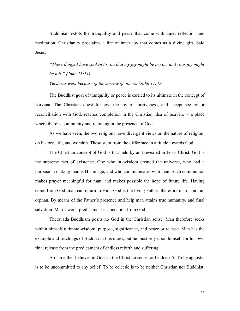Buddhism extols the tranquility and peace that come with quiet reflection and meditation. Christianity proclaims a life of inner joy that comes as a divine gift. Said Jesus,

*"These things I have spoken to you that my joy might be in you, and your joy might be full." (John 15:11)* 

*Yet Jesus wept because of the sorrow of others. (John 11:35)* 

The Buddhist goal of tranquility or peace is carried to its ultimate in the concept of Nirvana. The Christian quest for joy, the joy of forgiveness, and acceptance by or reconciliation with God, reaches completion in the Christian idea of heaven, -- a place where there is community and rejoicing in the presence of God.

As we have seen, the two religions have divergent views on the nature of religion, on history, life, and worship. These stem from the difference in attitude towards God.

The Christian concept of God is that held by and revealed in Jesus Christ. God is the supreme fact of existence. One who in wisdom created the universe, who had a purpose in making man is His image, and who communicates with man. Such communion makes prayer meaningful for man, and makes possible the hope of future life. Having come from God, man can return to Him. God is the living Father, therefore man is not an orphan. By means of the Father's presence and help man attains true humanity, and final salvation. Man's worst predicament is alienation from God.

Theravada Buddhism posits no God in the Christian sense. Man therefore seeks within himself ultimate wisdom, purpose, significance, and peace or release. Man has the example and teachings of Buddha in this quest, but he must rely upon himself for his own final release from the predicament of endless rebirth and suffering.

A man either believes in God, in the Christian sense, or he doesn't. To be agnostic is to be uncommitted to any belief. To be eclectic is to be neither Christian nor Buddhist.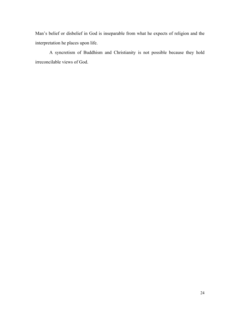Man's belief or disbelief in God is inseparable from what he expects of religion and the interpretation he places upon life.

A syncretism of Buddhism and Christianity is not possible because they hold irreconcilable views of God.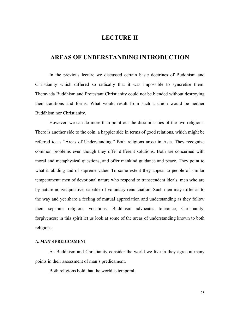## **LECTURE II**

## **AREAS OF UNDERSTANDING INTRODUCTION**

<span id="page-24-0"></span>In the previous lecture we discussed certain basic doctrines of Buddhism and Christianity which differed so radically that it was impossible to syncretise them. Theravada Buddhism and Protestant Christianity could not be blended without destroying their traditions and forms. What would result from such a union would be neither Buddhism nor Christianity.

However, we can do more than point out the dissimilarities of the two religions. There is another side to the coin, a happier side in terms of good relations, which might be referred to as "Areas of Understanding." Both religions arose in Asia. They recognize common problems even though they offer different solutions. Both are concerned with moral and metaphysical questions, and offer mankind guidance and peace. They point to what is abiding and of supreme value. To some extent they appeal to people of similar temperament: men of devotional nature who respond to transcendent ideals, men who are by nature non-acquisitive, capable of voluntary renunciation. Such men may differ as to the way and yet share a feeling of mutual appreciation and understanding as they follow their separate religious vocations. Buddhism advocates tolerance, Christianity, forgiveness: in this spirit let us look at some of the areas of understanding known to both religions.

#### <span id="page-24-1"></span>**A. MAN'S PREDICAMENT**

As Buddhism and Christianity consider the world we live in they agree at many points in their assessment of man's predicament.

Both religions hold that the world is temporal.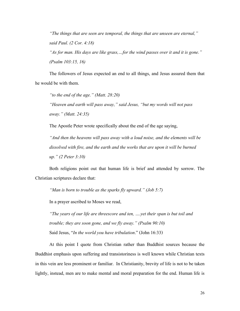*"The things that are seen are temporal, the things that are unseen are eternal," said Paul. (2 Cor. 4:18)* 

*"As for man. His days are like grass,…for the wind passes over it and it is gone." (Psalm 103:15, 16)* 

The followers of Jesus expected an end to all things, and Jesus assured them that he would be with them.

*"to the end of the age." (Matt. 28:20) "Heaven and earth will pass away," said Jesus, "but my words will not pass away." (Matt. 24:35)* 

The Apostle Peter wrote specifically about the end of the age saying,

*"And then the heavens will pass away with a loud noise, and the elements will be dissolved with fire, and the earth and the works that are upon it will be burned up." (2 Peter 3:10)* 

Both religions point out that human life is brief and attended by sorrow. The Christian scriptures declare that:

*"Man is born to trouble as the sparks fly upward." (Job 5:7)* 

In a prayer ascribed to Moses we read,

*"The years of our life are threescore and ten, ….yet their span is but toil and trouble; they are soon gone, and we fly away." (Psalm 90:10)*  Said Jesus, "*In the world you have tribulation*." (John 16:33)

At this point I quote from Christian rather than Buddhist sources because the Buddhist emphasis upon suffering and transistoriness is well known while Christian texts in this vein are less prominent or familiar. In Christianity, brevity of life is not to be taken lightly, instead, men are to make mental and moral preparation for the end. Human life is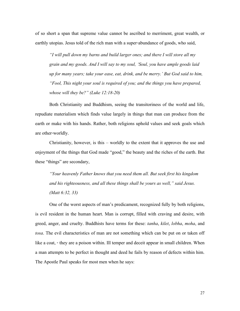of so short a span that supreme value cannot be ascribed to merriment, great wealth, or earthly utopias. Jesus told of the rich man with a super-abundance of goods, who said,

*"I will pull down my barns and build larger ones; and there I will store all my grain and my goods. And I will say to my soul, 'Soul, you have ample goods laid up for many years; take your ease, eat, drink, and be merry.' But God said to him, "Fool, This night your soul is required of you; and the things you have prepared, whose will they be?" (Luke 12:18-20)* 

Both Christianity and Buddhism, seeing the transitoriness of the world and life, repudiate materialism which finds value largely in things that man can produce from the earth or make with his hands. Rather, both religions uphold values and seek goals which are other-worldly.

Christianity, however, is this – worldly to the extent that it approves the use and enjoyment of the things that God made "good," the beauty and the riches of the earth. But these "things" are secondary,

*"Your heavenly Father knows that you need them all. But seek first his kingdom and his righteousness, and all these things shall be yours as well," said Jesus. (Matt 6:32, 33)* 

One of the worst aspects of man's predicament, recognized fully by both religions, is evil resident in the human heart. Man is corrupt, filled with craving and desire, with greed, anger, and cruelty. Buddhists have terms for these: *tanha*, *kilet*, *lobha*, *moha*, and *tosa*. The evil characteristics of man are not something which can be put on or taken off like a coat, - they are a poison within. Ill temper and deceit appear in small children. When a man attempts to be perfect in thought and deed he fails by reason of defects within him. The Apostle Paul speaks for most men when he says: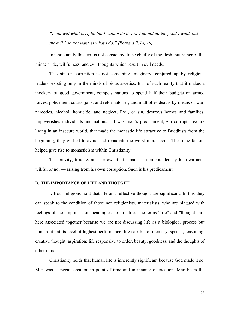*"I can will what is right, but I cannot do it. For I do not do the good I want, but the evil I do not want, is what I do." (Romans 7:18, 19)* 

In Christianity this evil is not considered to be chiefly of the flesh, but rather of the mind: pride, willfulness, and evil thoughts which result in evil deeds.

This sin or corruption is not something imaginary, conjured up by religious leaders, existing only in the minds of pious ascetics. It is of such reality that it makes a mockery of good government, compels nations to spend half their budgets on armed forces, policemen, courts, jails, and reformatories, and multiplies deaths by means of war, narcotics, alcohol, homicide, and neglect, Evil, or sin, destroys homes and families, impoverishes individuals and nations. It was man's predicament, - a corrupt creature living in an insecure world, that made the monastic life attractive to Buddhists from the beginning, they wished to avoid and repudiate the worst moral evils. The same factors helped give rise to monasticism within Christianity.

The brevity, trouble, and sorrow of life man has compounded by his own acts, willful or no, — arising from his own corruption. Such is his predicament.

#### <span id="page-27-0"></span>**B. THE IMPORTANCE OF LIFE AND THOUGHT**

I. Both religions hold that life and reflective thought are significant. In this they can speak to the condition of those non-religionists, materialists, who are plagued with feelings of the emptiness or meaninglessness of life. The terms "life" and "thought" are here associated together because we are not discussing life as a biological process but human life at its level of highest performance: life capable of memory, speech, reasoning, creative thought, aspiration; life responsive to order, beauty, goodness, and the thoughts of other minds.

Christianity holds that human life is inherently significant because God made it so. Man was a special creation in point of time and in manner of creation. Man bears the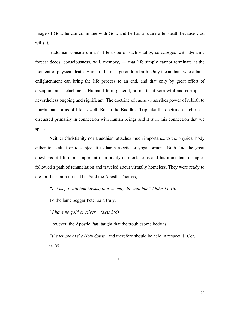image of God; he can commune with God, and he has a future after death because God wills it.

Buddhism considers man's life to be of such vitality, so *charged* with dynamic forces: deeds, consciousness, will, memory, — that life simply cannot terminate at the moment of physical death. Human life must go on to rebirth. Only the arahant who attains enlightenment can bring the life process to an end, and that only by great effort of discipline and detachment. Human life in general, no matter if sorrowful and corrupt, is nevertheless ongoing and significant. The doctrine of *samsara* ascribes power of rebirth to non-human forms of life as well. But in the Buddhist Tripitaka the doctrine of rebirth is discussed primarily in connection with human beings and it is in this connection that we speak.

Neither Christianity nor Buddhism attaches much importance to the physical body either to exalt it or to subject it to harsh ascetic or yoga torment. Both find the great questions of life more important than bodily comfort. Jesus and his immediate disciples followed a path of renunciation and traveled about virtually homeless. They were ready to die for their faith if need be. Said the Apostle Thomas,

*"Let us go with him (Jesus) that we may die with him" (John 11:16)* 

To the lame beggar Peter said truly,

*"I have no gold or silver." (Acts 3:6)* 

However, the Apostle Paul taught that the troublesome body is:

*"the temple of the Holy Spirit"* and therefore should be held in respect. (I Cor. 6:19)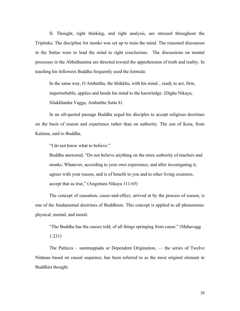II. Thought, right thinking, and right analysis, are stressed throughout the Tripitaka. The discipline for monks was set up to train the mind. The reasoned discourses in the Suttas were to lead the mind to right conclusions. The discussions on mental processes in the Abhidhamma are directed toward the apprehension of truth and reality. In teaching his followers Buddha frequently used the formula:

In the same way, O Ambattha, the bhikkhu, with his mind…ready to act, firm, imperturbable, applies and bends his mind to the knowledge. (Digha Nikaya, Silakkhanha Vagga, Ambattha Sutta 8)

In an oft-quoted passage Buddha urged his disciples to accept religious doctrines on the basis of reason and experience rather than on authority. The son of Kesa, from Kalama, said to Buddha,

"I do not know what to believe."

Buddha answered, "Do not believe anything on the mere authority of teachers and monks. Whatever, according to your own experience, and after investigating it, agrees with your reason, and is of benefit to you and to other living creatures, accept that as true," (Anguttara Nikaya 111:65)

The concept of causation, cause-and-effect, arrived at by the process of reason, is one of the fundamental doctrines of Buddhism. This concept is applied to all phenomena: physical, mental, and moral.

"The Buddha has the causes told, of all things springing from cause." (Mahavagg 1:231)

The Patticca – sammuppada or Dependent Origination, — the series of Twelve Nidanas based on causal sequence, has been referred to as the most original element in Buddhist thought.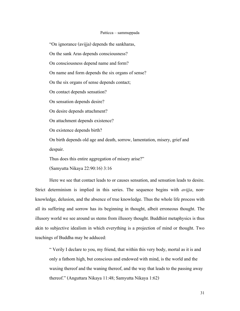#### Patticca – sammuppada

"On ignorance (avijja) depends the sankharas,

On the sank Aras depends consciousness?

On consciousness depend name and form?

On name and form depends the six organs of sense?

On the six organs of sense depends contact;

On contact depends sensation?

On sensation depends desire?

On desire depends attachment?

On attachment depends existence?

On existence depends birth?

On birth depends old age and death, sorrow, lamentation, misery, grief and despair.

Thus does this entire aggregation of misery arise?"

(Samyutta Nikaya 22:90:16) 3:16

Here we see that contact leads to or causes sensation, and sensation leads to desire. Strict determinism is implied in this series. The sequence begins with *avijja*, nonknowledge, delusion, and the absence of true knowledge. Thus the whole life process with all its suffering and sorrow has its beginning in thought, albeit erroneous thought. The illusory world we see around us stems from illusory thought. Buddhist metaphysics is thus akin to subjective idealism in which everything is a projection of mind or thought. Two teachings of Buddha may be adduced:

" Verily I declare to you, my friend, that within this very body, mortal as it is and only a fathom high, but conscious and endowed with mind, is the world and the waxing thereof and the waning thereof, and the way that leads to the passing away thereof." (Anguttara Nikaya 11:48; Samyutta Nikaya 1:62)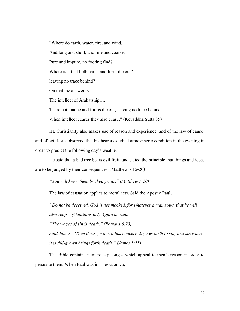"Where do earth, water, fire, and wind, And long and short, and fine and coarse, Pure and impure, no footing find? Where is it that both name and form die out? leaving no trace behind? On that the answer is: The intellect of Arahatship…. There both name and forms die out, leaving no trace behind. When intellect ceases they also cease." (Kevaddha Sutta 85)

III. Christianity also makes use of reason and experience, and of the law of causeand-effect. Jesus observed that his hearers studied atmospheric condition in the evening in order to predict the following day's weather.

He said that a bad tree bears evil fruit, and stated the principle that things and ideas are to be judged by their consequences. (Matthew 7:15-20)

*"You will know them by their fruits." (Matthew 7:20)* 

The law of causation applies to moral acts. Said the Apostle Paul,

*"Do not be deceived, God is not mocked, for whatever a man sows, that he will also reap." (Galatians 6:7) Again he said,* 

*"The wages of sin is death." (Romans 6:23)* 

*Said James: "Then desire, when it has conceived, gives birth to sin; and sin when it is full-grown brings forth death." (James 1:15)* 

The Bible contains numerous passages which appeal to men's reason in order to persuade them. When Paul was in Thessalonica,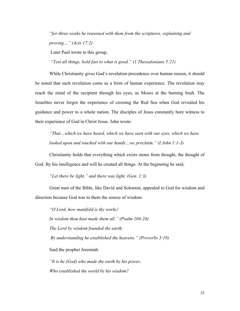*"for three weeks he reasoned with them from the scriptures, explaining and proving…" (Acts 17:2)* 

Later Paul wrote to this group,

 *"Test all things, hold fast to what is good." (1 Thessalonians 5:21)* 

While Christianity gives God's revelation precedence over human reason, it should be noted that such revelation come as a form of human experience. The revelation may reach the mind of the recipient through his eyes, as Moses at the burning bush. The Israelites never forgot the experience of crossing the Red Sea when God revealed his guidance and power to a whole nation. The disciples of Jesus constantly bore witness to their experience of God in Christ Jesus. John wrote:

*"That…which we have heard, which we have seen with our eyes, which we have looked upon and touched with our hands…we proclaim." (I John 1:1-3)* 

Christianity holds that everything which exists stems from thought, the thought of God. By his intelligence and will he created all things. At the beginning he said,

*"Let there be light," and there was light. (Gen. 1:3)* 

Great men of the Bible, like David and Solomon, appealed to God for wisdom and direction because God was to them the source of wisdom.

*"O Lord, how manifold is thy works! In wisdom thou hast made them all." (Psalm 104:24) The Lord by wisdom founded the earth; By understanding he established the heavens." (Proverbs 3:19)*  Said the prophet Jeremiah: *"It is he (God) who made the earth by his power,* 

*Who established the world by his wisdom?*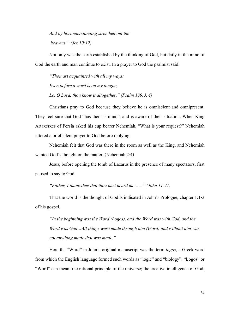*And by his understanding stretched out the heavens." (Jer 10:12)* 

Not only was the earth established by the thinking of God, but daily in the mind of God the earth and man continue to exist. In a prayer to God the psalmist said:

*"Thou art acquainted with all my ways; Even before a word is on my tongue, Lo, O Lord, thou know it altogether." (Psalm 139:3, 4)* 

Christians pray to God because they believe he is omniscient and omnipresent. They feel sure that God "has them is mind", and is aware of their situation. When King Artaxerxes of Persia asked his cup-bearer Nehemiah, "What is your request?" Nehemiah uttered a brief silent prayer to God before replying.

Nehemiah felt that God was there in the room as well as the King, and Nehemiah wanted God's thought on the matter. (Nehemiah 2:4)

Jesus, before opening the tomb of Lazarus in the presence of many spectators, first paused to say to God,

*"Father, I thank thee that thou hast heard me……" (John 11:41)* 

That the world is the thought of God is indicated in John's Prologue, chapter 1:1-3 of his gospel.

*"In the beginning was the Word (Logos), and the Word was with God, and the Word was God…All things were made through him (Word) and without him was not anything made that was made."* 

Here the "Word" in John's original manuscript was the term *logos*, a Greek word from which the English language formed such words as "logic" and "biology". "Logos" or "Word" can mean: the rational principle of the universe; the creative intelligence of God;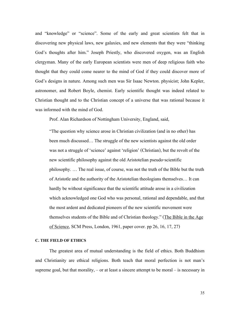and "knowledge" or "science". Some of the early and great scientists felt that in discovering new physical laws, new galaxies, and new elements that they were "thinking God's thoughts after him." Joseph Priestly, who discovered oxygen, was an English clergyman. Many of the early European scientists were men of deep religious faith who thought that they could come nearer to the mind of God if they could discover more of God's designs in nature. Among such men was Sir Isaac Newton. physicist; John Kepler, astronomer, and Robert Boyle, chemist. Early scientific thought was indeed related to Christian thought and to the Christian concept of a universe that was rational because it was informed with the mind of God.

Prof. Alan Richardson of Nottingham University, England, said,

"The question why science arose in Christian civilization (and in no other) has been much discussed… The struggle of the new scientists against the old order was not a struggle of 'science' against 'religion' (Christian), but the revolt of the new scientific philosophy against the old Aristotelian pseudo-scientific philosophy. … The real issue, of course, was not the truth of the Bible but the truth of Aristotle and the authority of the Aristotelian theologians themselves… It can hardly be without significance that the scientific attitude arose in a civilization which acknowledged one God who was personal, rational and dependable, and that the most ardent and dedicated pioneers of the new scientific movement were themselves students of the Bible and of Christian theology." (The Bible in the Age of Science, SCM Press, London, 1961, paper cover. pp 26, 16, 17, 27)

#### <span id="page-34-0"></span>**C. THE FIELD OF ETHICS**

The greatest area of mutual understanding is the field of ethics. Both Buddhism and Christianity are ethical religions. Both teach that moral perfection is not man's supreme goal, but that morality, – or at least a sincere attempt to be moral – is necessary in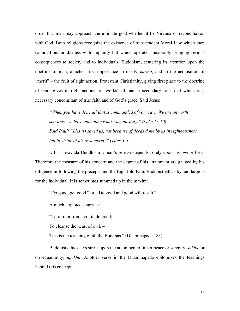order that man may approach the ultimate goal whether it be Nirvana or reconciliation with God. Both religions recognize the existence of transcendent Moral Law which men cannot flout or dismiss with impunity but which operates inexorably bringing serious consequences to society and to individuals. Buddhism, centering its attention upon the doctrine of man, attaches first importance to deeds, *karma*, and to the acquisition of "merit" – the fruit of right action. Protestant Christianity, giving first place to the doctrine of God, gives to right actions or "works" of man a secondary role: that which is a necessary concomitant of true faith and of God's grace. Said Jesus:

*"When you have done all that is commanded of you, say, 'We are unworthy servants, we have only done what was our duty." (Luke 17:10) Said Paul: "(Jesus) saved us, not because of deeds done by us in righteousness, but in virtue of his own mercy." (Titus 3:5)* 

I. In Theravada Buddhism a man's release depends solely upon his own efforts. Therefore the measure of his concern and the degree of his attainment are gauged by his diligence in following the precepts and the Eightfold Path. Buddhist ethics by and large is for the individual. It is sometimes summed up in the maxim:

"Do good, get good," or, "Do good and good will result."

A much – quoted stanza is:

"To refrain from evil; to do good;

To cleanse the heart of evil. –

This is the teaching of all the Buddhas." (Dhammapada 183)

Buddhist ethics lays stress upon the attainment of inner peace or serenity, *sukha*, or on equanimity, *upekha*. Another verse in the Dhammapada epitomizes the teachings behind this concept: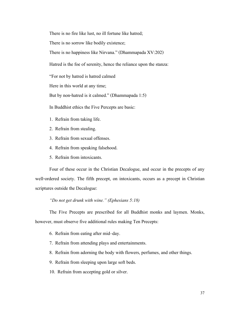There is no fire like lust, no ill fortune like hatred;

There is no sorrow like bodily existence;

There is no happiness like Nirvana." (Dhammapada XV:202)

Hatred is the foe of serenity, hence the reliance upon the stanza:

"For not by hatred is hatred calmed

Here in this world at any time;

But by non-hatred is it calmed." (Dhammapada 1:5)

In Buddhist ethics the Five Percepts are basic:

- 1. Refrain from taking life.
- 2. Refrain from stealing.
- 3. Refrain from sexual offenses.
- 4. Refrain from speaking falsehood.
- 5. Refrain from intoxicants.

Four of these occur in the Christian Decalogue, and occur in the precepts of any well-ordered society. The fifth precept, on intoxicants, occurs as a precept in Christian scriptures outside the Decalogue:

*"Do not get drunk with wine." (Ephesians 5:18)* 

The Five Precepts are prescribed for all Buddhist monks and laymen. Monks, however, must observe five additional rules making Ten Precepts:

6. Refrain from eating after mid–day.

- 7. Refrain from attending plays and entertainments.
- 8. Refrain from adorning the body with flowers, perfumes, and other things.
- 9. Refrain from sleeping upon large soft beds.
- 10. Refrain from accepting gold or silver.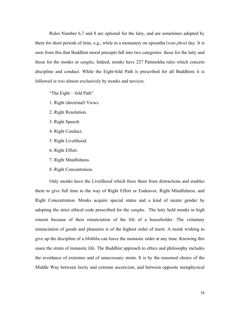Rules Number 6,7 and 8 are optional for the laity, and are sometimes adopted by them for short periods of time, e.g., while in a monastery on uposatha (*wan phra*) day. It is seen from this that Buddhist moral precepts fall into two categories: those for the laity and those for the monks or *sangha*. Indeed, monks have 227 Patimokha rules which concern discipline and conduct. While the Eight-fold Path is prescribed for all Buddhists it is followed *in toto* almost exclusively by monks and novices.

"The Eight – fold Path"

- 1. Right (doctrinal) Views.
- 2. Right Resolution.
- 3. Right Speech.
- 4. Right Conduct.
- 5. Right Livelihood.
- 6. Right Effort.
- 7. Right Mindfulness.
- 8. Right Concentration.

Only monks have the Livelihood which frees them from distractions and enables them to give full time to the way of Right Effort or Endeavor, Right Mindfulness, and Right Concentration. Monks acquire special status and a kind of neuter gender by adopting the strict ethical code prescribed for the *sangha*. The laity hold monks in high esteem because of their renunciation of the life of a householder. The voluntary renunciation of goods and pleasures is of the highest order of merit. A monk wishing to give up the discipline of a *bhikkhu* can leave the monastic order at any time. Knowing this eases the strain of monastic life. The Buddhist approach to ethics and philosophy includes the avoidance of extremes and of unnecessary strain. It is by the reasoned choice of the Middle Way between laxity and extreme asceticism, and between opposite metaphysical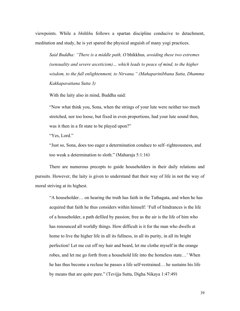viewpoints. While a *bhikkhu* follows a spartan discipline conducive to detachment, meditation and study, he is yet spared the physical anguish of many yogi practices.

*Said Buddha: "There is a middle path, O* bhikkhus*, avoiding these two extremes (sensuality and severe asceticism)… which leads to peace of mind, to the higher wisdom, to the full enlightenment, to Nirvana." (Mahaparinibbana Sutta, Dhamma Kakkapavattana Sutta 3)* 

With the laity also in mind, Buddha said:

"Now what think you, Sona, when the strings of your lute were neither too much stretched, nor too loose, but fixed in even proportions, had your lute sound then, was it then in a fit state to be played upon?"

"Yes, Lord."

"Just so, Sona, does too eager a determination conduce to self–righteousness, and too weak a determination to sloth." (Maharaja 5:1:16)

There are numerous precepts to guide householders in their daily relations and pursuits. However, the laity is given to understand that their way of life in not the way of moral striving at its highest.

"A householder… on hearing the truth has faith in the Tathagata, and when he has acquired that faith he thus considers within himself: 'Full of hindrances is the life of a householder, a path defiled by passion; free as the air is the life of him who has renounced all worldly things. How difficult is it for the man who dwells at home to live the higher life in all its fullness, in all its purity, in all its bright perfection! Let me cut off my hair and beard, let me clothe myself in the orange robes, and let me go forth from a household life into the homeless state…' When he has thus become a recluse he passes a life self-restrained… he sustains his life by means that are quite pure." (Tevijja Sutta, Digha Nikaya 1:47:49)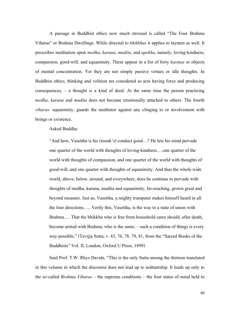A passage in Buddhist ethics now much stressed is called "The Four Brahma Viharas" or Brahma Dwellings. While directed to *bhikkhus* it applies to laymen as well. It prescribes meditation upon *medha*, *karuna*, *mudita*, and *upekha*, namely, loving-kindness, compassion, good-will, and equanimity. These appear in a list of forty *kasinas* or objects of mental concentration. Yet they are not simply passive virtues or idle thoughts. In Buddhist ethics, thinking and volition are considered as acts having force and producing consequences, – a thought is a kind of deed. At the same time the person practicing *medha*, *karuna* and *mudita* does not become emotionally attached to others. The fourth *viharas*. equanimity, guards the meditator against any clinging to or involvement with beings or existence.

Asked Buddha:

"And how, Vasettha is his (monk's) conduct good…? He lets his mind pervade one quarter of the world with thoughts of loving-kindness….one quarter of the world with thoughts of compassion, and one quarter of the world with thoughts of good-will, and one quarter with thoughts of equanimity. And thus the whole wide world, above, below, around, and everywhere, does he continue to pervade with thoughts of medha, karuna, mudita and equanimity, far-reaching, grown great and beyond measure. Just as, Vasettha, a mighty trumpeter makes himself heard in all the four directions….. Verily this, Vasettha, is the way to a state of union with Brahma…. That the bhikkhu who is free from household cares should, after death, become united with Brahma, who is the same, – such a condition of things is every way possible," (Tevijja Sutta, v. 43, 76, 78, 79, 81, from the "Sacred Books of the Buddhists" Vol. II, London, Oxford U Press, 1899)

Said Prof. T.W. Rhys Davids, "This is the only Sutta among the thirteen translated in this volume in which the discourse does not lead up to arahantship. It leads up only to the so-called *Brahma Viharas* – the supreme conditions – the four states of mind held to

40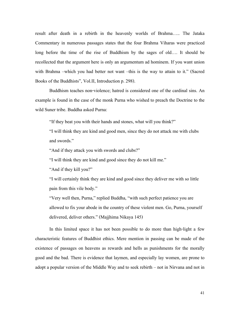result after death in a rebirth in the heavenly worlds of Brahma….. The Jataka Commentary in numerous passages states that the four Brahma Viharas were practiced long before the time of the rise of Buddhism by the sages of old…. It should be recollected that the argument here is only an argumentum ad hominem. If you want union with Brahma –which you had better not want –this is the way to attain to it." (Sacred Books of the Buddhists", Vol.II, Introduction p. 298).

Buddhism teaches non-violence; hatred is considered one of the cardinal sins. An example is found in the case of the monk Purna who wished to preach the Doctrine to the wild Suner tribe. Buddha asked Purna:

"If they beat you with their hands and stones, what will you think?"

"I will think they are kind and good men, since they do not attack me with clubs and swords."

"And if they attack you with swords and clubs?"

"I will think they are kind and good since they do not kill me."

"And if they kill you?"

"I will certainly think they are kind and good since they deliver me with so little pain from this vile body."

"Very well then, Purna," replied Buddha, "with such perfect patience you are allowed to fix your abode in the country of these violent men. Go, Purna, yourself delivered, deliver others." (Majjhima Nikaya 145)

In this limited space it has not been possible to do more than high-light a few characteristic features of Buddhist ethics. Mere mention in passing can be made of the existence of passages on heavens as rewards and hells as punishments for the morally good and the bad. There is evidence that laymen, and especially lay women, are prone to adopt a popular version of the Middle Way and to seek rebirth – not in Nirvana and not in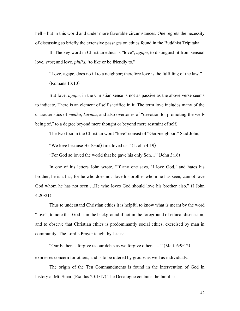hell – but in this world and under more favorable circumstances. One regrets the necessity of discussing so briefly the extensive passages on ethics found in the Buddhist Tripitaka.

II. The key word in Christian ethics is "love", *agape*, to distinguish it from sensual love, *eros*; and love, *philia*, 'to like or be friendly to,"

"Love, agape, does no ill to a neighbor; therefore love is the fulfilling of the law." (Romans 13:10)

But love, *agape*, in the Christian sense is not as passive as the above verse seems to indicate. There is an element of self-sacrifice in it. The term love includes many of the characteristics of *medha*, *karuna*, and also overtones of "devotion to, promoting the wellbeing of," to a degree beyond mere thought or beyond mere restraint of self.

The two foci in the Christian word "love" consist of "God-neighbor." Said John,

"We love because He (God) first loved us." (I John 4:19)

"For God so loved the world that he gave his only Son…" (John 3:16)

In one of his letters John wrote, "If any one says, 'I love God,' and hates his brother, he is a liar; for he who does not love his brother whom he has seen, cannot love God whom he has not seen….He who loves God should love his brother also." (I John 4:20-21)

Thus to understand Christian ethics it is helpful to know what is meant by the word "love"; to note that God is in the background if not in the foreground of ethical discussion; and to observe that Christian ethics is predominantly social ethics, exercised by man in community. The Lord's Prayer taught by Jesus:

"Our Father….forgive us our debts as we forgive others….." (Matt. 6:9-12)

expresses concern for others, and is to be uttered by groups as well as individuals.

The origin of the Ten Commandments is found in the intervention of God in history at Mt. Sinai. (Exodus 20:1-17) The Decalogue contains the familiar: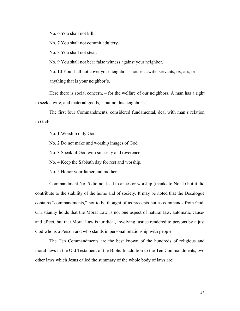No. 6 You shall not kill.

No. 7 You shall not commit adultery.

No. 8 You shall not steal.

No. 9 You shall not bear false witness against your neighbor.

No. 10 You shall not covet your neighbor's house….wife, servants, ox, ass, or anything that is your neighbor's.

Here there is social concern, – for the welfare of our neighbors. A man has a right to seek a wife, and material goods, – but not his neighbor's!

The first four Commandments, considered fundamental, deal with man's relation to God:

No. 1 Worship only God.

No. 2 Do not make and worship images of God.

No. 3 Speak of God with sincerity and reverence.

No. 4 Keep the Sabbath day for rest and worship.

No. 5 Honor your father and mother.

Commandment No. 5 did not lead to ancestor worship (thanks to No. 1) but it did contribute to the stability of the home and of society. It may be noted that the Decalogue contains "commandments," not to be thought of as precepts but as commands from God. Christianity holds that the Moral Law is not one aspect of natural law, automatic causeand-effect, but that Moral Law is juridical, involving justice rendered to persons by a just God who is a Person and who stands in personal relationship with people.

The Ten Commandments are the best known of the hundreds of religious and moral laws in the Old Testament of the Bible. In addition to the Ten Commandments, two other laws which Jesus called the summary of the whole body of laws are: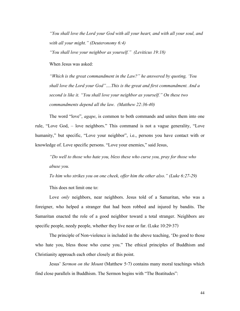*"You shall love the Lord your God with all your heart, and with all your soul, and with all your might." (Deuteronomy 6:4)* 

*"You shall love your neighbor as yourself." (Leviticus 19:18)* 

When Jesus was asked:

*"Which is the great commandment in the Law?" he answered by quoting, 'You shall love the Lord your God"….This is the great and first commandment. And a second is like it. "You shall love your neighbor as yourself." On these two commandments depend all the law. (Matthew 22:36-40)* 

The word "love", *agape*, is common to both commands and unites them into one rule, "Love God, – love neighbors." This command is not a vague generality, "Love humanity," but specific, "Love your neighbor", i.e., persons you have contact with or knowledge of. Love specific persons. "Love your enemies," said Jesus,

*"Do well to those who hate you, bless these who curse you, pray for those who abuse you.* 

*To him who strikes you on one cheek, offer him the other also." (Luke 6:27-29)* 

This does not limit one to:

Love *only* neighbors, near neighbors. Jesus told of a Samaritan, who was a foreigner, who helped a stranger that had been robbed and injured by bandits. The Samaritan enacted the role of a good neighbor toward a total stranger. Neighbors are specific people, needy people, whether they live near or far. (Luke 10:29-37)

The principle of Non-violence is included in the above teaching, 'Do good to those who hate you, bless those who curse you." The ethical principles of Buddhism and Christianity approach each other closely at this point.

Jesus' *Sermon on the Mount* (Matthew 5-7) contains many moral teachings which find close parallels in Buddhism. The Sermon begins with "The Beatitudes":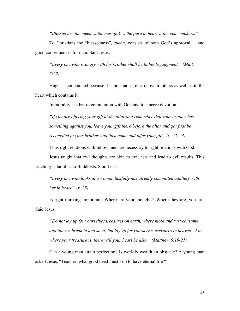*"Blessed are the meek…. the merciful…. the pure in heart …the peacemakers."* 

To Christians the "blessedness", *sukha*, consists of both God's approval, – and good consequences for man. Said Jesus:

*"Every one who is angry with his brother shall be liable to judgment." (Matt. 5:22)* 

Anger is condemned because it is poisonous, destructive to others as well as to the heart which contains it.

Immorality is a bar to communion with God and to sincere devotion.

*"If you are offering your gift at the altar and remember that your brother has something against you, leave your gift there before the altar and go; first be reconciled to your brother And then come and offer your gift."(v. 23, 24)* 

Thus right relations with fellow men are necessary to right relations with God.

Jesus taught that evil thoughts are akin to evil acts and lead to evil results. This teaching is familiar to Buddhists. Said Jesus:

*"Every one who looks at a woman lustfully has already committed adultery with her in heart." (v. 28)* 

Is right thinking important? Where are your thoughts? Where they are, you are, Said Jesus:

*"Do not lay up for yourselves treasures on earth, where moth and rust consume and thieves break in and steal, but lay up for yourselves treasures in heaven…For where your treasure is, there will your heart be also." (Matthew 6:19-21)* 

Can a young man attain perfection? Is worldly wealth an obstacle? A young man asked Jesus, "Teacher, what good deed must I do to have eternal life?"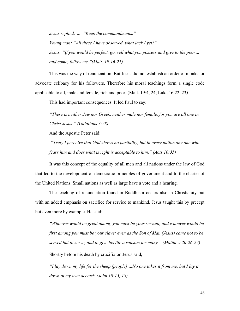*Jesus replied: …. "Keep the commandments." Young man: "All these I have observed, what lack I yet?" Jesus: "If you would be perfect, go, sell what you possess and give to the poor… and come, follow me."(Matt. 19:16-21)* 

This was the way of renunciation. But Jesus did not establish an order of monks, or advocate celibacy for his followers. Therefore his moral teachings form a single code applicable to all, male and female, rich and poor, (Matt. 19:4, 24; Luke 16:22, 23)

This had important consequences. It led Paul to say:

*"There is neither Jew nor Greek, neither male nor female, for you are all one in Christ Jesus." (Galatians 3:28)* 

And the Apostle Peter said:

 *"Truly I perceive that God shows no partiality, but in every nation any one who fears him and does what is right is acceptable to him." (Acts 10:35)* 

It was this concept of the equality of all men and all nations under the law of God that led to the development of democratic principles of government and to the charter of the United Nations. Small nations as well as large have a vote and a hearing.

The teaching of renunciation found in Buddhism occurs also in Christianity but with an added emphasis on sacrifice for service to mankind. Jesus taught this by precept but even more by example. He said:

*"Whoever would be great among you must be your servant, and whoever would be first among you must be your slave: even as the Son of Man (Jesus) came not to be served but to serve, and to give his life a ransom for many." (Matthew 20:26-27)* 

Shortly before his death by crucifixion Jesus said,

*"I lay down my life for the sheep (people) …No one takes it from me, but I lay it down of my own accord: (John 10:15, 18)*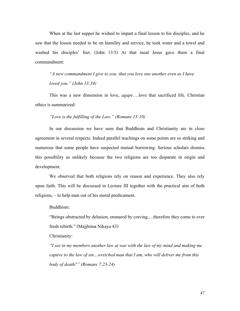When at the last supper he wished to impart a final lesson to his disciples, and he saw that the lesson needed to be on humility and service, he took water and a towel and washed his disciples' feet. (John 13:5) At that meal Jesus gave them a final commandment:

*"A new commandment I give to you: that you love one another even as I have loved you." (John 13:34)* 

This was a new dimension in love, *agape*….love that sacrificed life. Christian ethics is summarized:

#### *"Love is the fulfilling of the Law." (Romans 13:10)*

In our discussion we have seen that Buddhism and Christianity are in close agreement in several respects. Indeed parallel teachings on some points are so striking and numerous that some people have suspected mutual borrowing. Serious scholars dismiss this possibility as unlikely because the two religions are too disparate in origin and development.

We observed that both religions rely on reason and experience. They also rely upon faith. This will be discussed in Lecture III together with the practical aim of both religions, – to help man out of his moral predicament.

Buddhism:

"Beings obstructed by delusion, ensnared by craving,…therefore they come to ever fresh rebirth." (Majjhima Nikaya 43)

Christianity:

*"I see in my members another law at war with the law of my mind and making me captive to the law of sin…wretched man that I am, who will deliver me from this body of death?" (Romans 7:23-24)*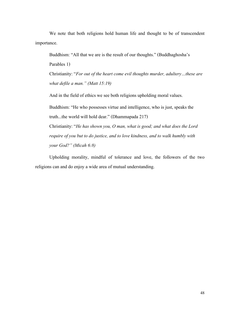We note that both religions hold human life and thought to be of transcendent importance.

Buddhism: "All that we are is the result of our thoughts." (Buddhaghosha's Parables 1)

Christianity: "*For out of the heart come evil thoughts murder, adultery…these are what defile a man." (Matt 15:19)* 

And in the field of ethics we see both religions upholding moral values.

Buddhism: "He who possesses virtue and intelligence, who is just, speaks the truth...the world will hold dear." (Dhammapada 217) Christianity: "*He has shown you, O man, what is good; and what does the Lord require of you but to do justice, and to love kindness, and to walk humbly with your God?" (Micah 6:8)* 

Upholding morality, mindful of tolerance and love, the followers of the two religions can and do enjoy a wide area of mutual understanding.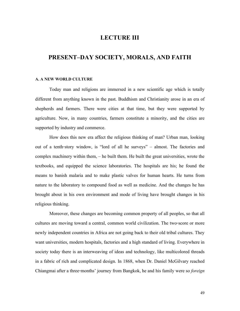# **LECTURE III**

## <span id="page-48-0"></span>**PRESENT–DAY SOCIETY, MORALS, AND FAITH**

#### <span id="page-48-1"></span>**A. A NEW WORLD CULTURE**

Today man and religions are immersed in a new scientific age which is totally different from anything known in the past. Buddhism and Christianity arose in an era of shepherds and farmers. There were cities at that time, but they were supported by agriculture. Now, in many countries, farmers constitute a minority, and the cities are supported by industry and commerce.

How does this new era affect the religious thinking of man? Urban man, looking out of a tenth-story window, is "lord of all he surveys" – almost. The factories and complex machinery within them, – he built them. He built the great universities, wrote the textbooks, and equipped the science laboratories. The hospitals are his; he found the means to banish malaria and to make plastic valves for human hearts. He turns from nature to the laboratory to compound food as well as medicine. And the changes he has brought about in his own environment and mode of living have brought changes in his religious thinking.

Moreover, these changes are becoming common property of all peoples, so that all cultures are moving toward a central, common world civilization. The two-score or more newly independent countries in Africa are not going back to their old tribal cultures. They want universities, modern hospitals, factories and a high standard of living. Everywhere in society today there is an interweaving of ideas and technology, like multicolored threads in a fabric of rich and complicated design. In 1868, when Dr. Daniel McGilvary reached Chiangmai after a three-months' journey from Bangkok, he and his family were so *foreign*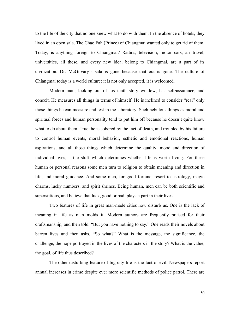to the life of the city that no one knew what to do with them. In the absence of hotels, they lived in an open sala. The Chao Fah (Prince) of Chiangmai wanted only to get rid of them. Today, is anything foreign to Chiangmai? Radios, television, motor cars, air travel, universities, all these, and every new idea, belong to Chiangmai, are a part of its civilization. Dr. McGilvary's sala is gone because that era is gone. The culture of Chiangmai today is a world culture: it is not only accepted, it is welcomed.

Modern man, looking out of his tenth story window, has self-assurance, and conceit. He measures all things in terms of himself. He is inclined to consider "real" only those things he can measure and test in the laboratory. Such nebulous things as moral and spiritual forces and human personality tend to put him off because he doesn't quite know what to do about them. True, he is sobered by the fact of death, and troubled by his failure to control human events, moral behavior, esthetic and emotional reactions, human aspirations, and all those things which determine the quality, mood and direction of individual lives, – the stuff which determines whether life is worth living. For these human or personal reasons some men turn to religion to obtain meaning and direction in life, and moral guidance. And some men, for good fortune, resort to astrology, magic charms, lucky numbers, and spirit shrines. Being human, men can be both scientific and superstitious, and believe that luck, good or bad, plays a part in their lives.

Two features of life in great man-made cities now disturb us. One is the lack of meaning in life as man molds it. Modern authors are frequently praised for their craftsmanship, and then told: "But you have nothing to say." One reads their novels about barren lives and then asks, "So what?" What is the message, the significance, the challenge, the hope portrayed in the lives of the characters in the story? What is the value, the goal, of life thus described?

The other disturbing feature of big city life is the fact of evil. Newspapers report annual increases in crime despite ever more scientific methods of police patrol. There are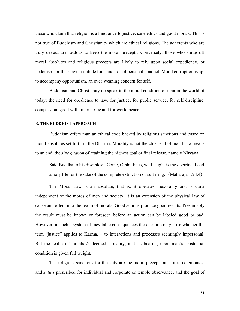those who claim that religion is a hindrance to justice, sane ethics and good morals. This is not true of Buddhism and Christianity which are ethical religions. The adherents who are truly devout are zealous to keep the moral precepts. Conversely, those who shrug off moral absolutes and religious precepts are likely to rely upon social expediency, or hedonism, or their own rectitude for standards of personal conduct. Moral corruption is apt to accompany opportunism, an over-weaning concern for self.

Buddhism and Christianity do speak to the moral condition of man in the world of today: the need for obedience to law, for justice, for public service, for self-discipline, compassion, good will, inner peace and for world peace.

#### <span id="page-50-0"></span>**B. THE BUDDHIST APPROACH**

Buddhism offers man an ethical code backed by religious sanctions and based on moral absolutes set forth in the Dharma. Morality is not the chief end of man but a means to an end, the *sine quanon* of attaining the highest goal or final release, namely Nirvana.

Said Buddha to his disciples: "Come, O bhikkhus, well taught is the doctrine. Lead a holy life for the sake of the complete extinction of suffering." (Maharaja 1:24:4)

The Moral Law is an absolute, that is, it operates inexorably and is quite independent of the mores of men and society. It is an extension of the physical law of cause and effect into the realm of morals. Good actions produce good results. Presumably the result must be known or foreseen before an action can be labeled good or bad. However, in such a system of inevitable consequences the question may arise whether the term "justice" applies to Karma, – to interactions and processes seemingly impersonal. But the realm of morals *is* deemed a reality, and its bearing upon man's existential condition is given full weight.

The religious sanctions for the laity are the moral precepts and rites, ceremonies, and *suttas* prescribed for individual and corporate or temple observance, and the goal of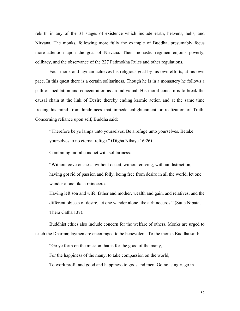rebirth in any of the 31 stages of existence which include earth, heavens, hells, and Nirvana. The monks, following more fully the example of Buddha, presumably focus more attention upon the goal of Nirvana. Their monastic regimen enjoins poverty, celibacy, and the observance of the 227 Patimokha Rules and other regulations.

Each monk and layman achieves his religious goal by his own efforts, at his own pace. In this quest there is a certain solitariness. Though he is in a monastery he follows a path of meditation and concentration as an individual. His moral concern is to break the causal chain at the link of Desire thereby ending karmic action and at the same time freeing his mind from hindrances that impede enlightenment or realization of Truth. Concerning reliance upon self, Buddha said:

"Therefore be ye lamps unto yourselves. Be a refuge unto yourselves. Betake yourselves to no eternal refuge." (Digha Nikaya 16:26)

Combining moral conduct with solitariness:

"Without covetousness, without deceit, without craving, without distraction, having got rid of passion and folly, being free from desire in all the world, let one wander alone like a rhinoceros.

Having left son and wife, father and mother, wealth and gain, and relatives, and the different objects of desire, let one wander alone like a rhinoceros." (Sutta Nipata, Thera Gatha 137).

Buddhist ethics also include concern for the welfare of others. Monks are urged to teach the Dharma; laymen are encouraged to be benevolent. To the monks Buddha said:

"Go ye forth on the mission that is for the good of the many,

For the happiness of the many, to take compassion on the world,

To work profit and good and happiness to gods and men. Go not singly, go in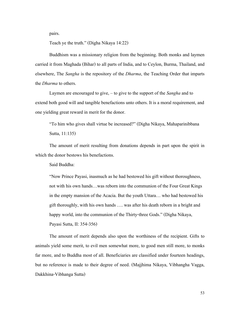pairs.

Teach ye the truth." (Digha Nikaya 14:22)

Buddhism was a missionary religion from the beginning. Both monks and laymen carried it from Maghada (Bihar) to all parts of India, and to Ceylon, Burma, Thailand, and elsewhere, The *Sangha* is the repository of the *Dharma*, the Teaching Order that imparts the *Dharma* to others.

Laymen are encouraged to give, – to give to the support of the *Sangha* and to extend both good will and tangible benefactions unto others. It is a moral requirement, and one yielding great reward in merit for the donor.

"To him who gives shall virtue be increased?" (Digha Nikaya, Mahaparinibbana Sutta, 11:135)

The amount of merit resulting from donations depends in part upon the spirit in which the donor bestows his benefactions.

Said Buddha:

"Now Prince Payasi, inasmuch as he had bestowed his gift without thoroughness, not with his own hands…was reborn into the communion of the Four Great Kings in the empty mansion of the Acacia. But the youth Uttara… who had bestowed his gift thoroughly, with his own hands …. was after his death reborn in a bright and happy world, into the communion of the Thirty-three Gods." (Digha Nikaya, Payasi Sutta, II: 354-356)

The amount of merit depends also upon the worthiness of the recipient. Gifts to animals yield some merit, to evil men somewhat more, to good men still more, to monks far more, and to Buddha most of all. Beneficiaries are classified under fourteen headings, but no reference is made to their degree of need. (Majjhima Nikaya, Vibhangha Vagga, Dakkhina-Vibhanga Sutta)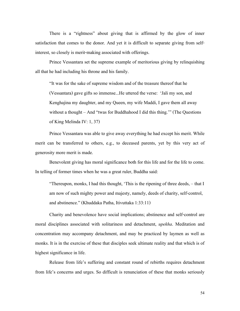There is a "rightness" about giving that is affirmed by the glow of inner satisfaction that comes to the donor. And yet it is difficult to separate giving from selfinterest, so closely is merit-making associated with offerings.

Prince Vessantara set the supreme example of meritorious giving by relinquishing all that he had including his throne and his family.

"It was for the sake of supreme wisdom and of the treasure thereof that he (Vessantara) gave gifts so immense...He uttered the verse: 'Jali my son, and Kenghajina my daughter, and my Queen, my wife Maddi, I gave them all away without a thought – And "twas for Buddhahood I did this thing.'" (The Questions of King Melinda IV: 1, 37)

Prince Vessantara was able to give away everything he had except his merit. While merit can be transferred to others, e.g., to deceased parents, yet by this very act of generosity more merit is made.

Benevolent giving has moral significance both for this life and for the life to come. In telling of former times when he was a great ruler, Buddha said:

"Thereupon, monks, I had this thought, 'This is the ripening of three deeds, – that I am now of such mighty power and majesty, namely, deeds of charity, self-control, and abstinence." (Khuddaka Patha, Itivuttaka 1:33:11)

Charity and benevolence have social implications; abstinence and self-control are moral disciplines associated with solitariness and detachment, *upekha*. Meditation and concentration may accompany detachment, and may be practiced by laymen as well as monks. It is in the exercise of these that disciples seek ultimate reality and that which is of highest significance in life.

Release from life's suffering and constant round of rebirths requires detachment from life's concerns and urges. So difficult is renunciation of these that monks seriously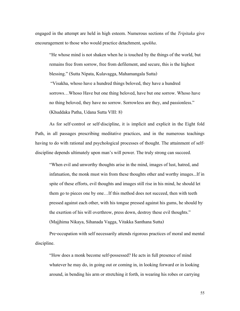engaged in the attempt are held in high esteem. Numerous sections of the *Tripitaka* give encouragement to those who would practice detachment, *upekha*.

"He whose mind is not shaken when he is touched by the things of the world, but remains free from sorrow, free from defilement, and secure, this is the highest blessing." (Sutta Nipata, Kulavagga, Mahamangala Sutta) "Visakha, whoso have a hundred things beloved, they have a hundred sorrows…Whoso Have but one thing beloved, have but one sorrow. Whoso have no thing beloved, they have no sorrow. Sorrowless are they, and passionless." (Khuddaka Patha, Udana Sutta VIII: 8)

As for self-control or self-discipline, it is implicit and explicit in the Eight fold Path, in all passages prescribing meditative practices, and in the numerous teachings having to do with rational and psychological processes of thought. The attainment of selfdiscipline depends ultimately upon man's will power. The truly strong can succeed.

"When evil and unworthy thoughts arise in the mind, images of lust, hatred, and infatuation, the monk must win from these thoughts other and worthy images...If in spite of these efforts, evil thoughts and images still rise in his mind, he should let them go to pieces one by one…If this method does not succeed, then with teeth pressed against each other, with his tongue pressed against his gums, he should by the exertion of his will overthrow, press down, destroy these evil thoughts." (Majjhima Nikaya, Sihanada Vagga, Vitakka Santhana Sutta)

Pre-occupation with self necessarily attends rigorous practices of moral and mental discipline.

"How does a monk become self-possessed? He acts in full presence of mind whatever he may do, in going out or coming in, in looking forward or in looking around, in bending his arm or stretching it forth, in wearing his robes or carrying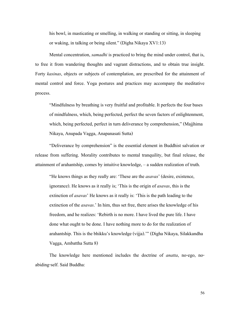his bowl, in masticating or smelling, in walking or standing or sitting, in sleeping or waking, in talking or being silent." (Digha Nikaya XV1:13)

Mental concentration, *samadhi* is practiced to bring the mind under control, that is, to free it from wandering thoughts and vagrant distractions, and to obtain true insight. Forty *kasinas*, objects or subjects of contemplation, are prescribed for the attainment of mental control and force. Yoga postures and practices may accompany the meditative process.

"Mindfulness by breathing is very fruitful and profitable. It perfects the four bases of mindfulness, which, being perfected, perfect the seven factors of enlightenment, which, being perfected, perfect in turn deliverance by comprehension," (Majjhima Nikaya, Anupada Vagga, Anapanasati Sutta)

"Deliverance by comprehension" is the essential element in Buddhist salvation or release from suffering. Morality contributes to mental tranquility, but final release, the attainment of arahantship, comes by intuitive knowledge, – a sudden realization of truth.

"He knows things as they really are: 'These are the *asavas*' (desire, existence, ignorance). He knows as it really is; 'This is the origin of *asavas*, this is the extinction of *asavas*' He knows as it really is: 'This is the path leading to the extinction of the *asavas*.' In him, thus set free, there arises the knowledge of his freedom, and he realizes: 'Rebirth is no more. I have lived the pure life. I have done what ought to be done. I have nothing more to do for the realization of arahantship. This is the bhikku's knowledge (vijja).'" (Digha Nikaya, Silakkandha Vagga, Ambattha Sutta 8)

The knowledge here mentioned includes the doctrine of *anatta*, no-ego, noabiding-self. Said Buddha: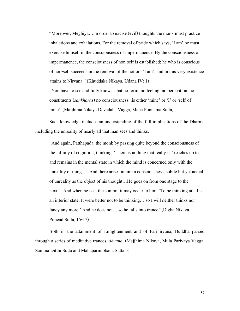"Moreover, Meghiya….in order to excise (evil) thoughts the monk must practice inhalations and exhalations. For the removal of pride which says, 'I am' he must exercise himself in the consciousness of impermanence. By the consciousness of impermanence, the consciousness of non-self is established; he who is conscious of non-self succeeds in the removal of the notion, 'I am', and in this very existence attains to Nirvana." (Khuddaka Nikaya, Udana IV: 1)

"You have to see and fully know…that no form, no feeling, no perception, no constituents (*sankharas*) no consciousness...is either 'mine' or 'I' or 'self-ofmine'. (Majjhima Nikaya Devadaha Vagga, Maha Punnama Sutta)

Such knowledge includes an understanding of the full implications of the Dharma including the unreality of nearly all that man sees and thinks.

"And again, Patthapada, the monk by passing quite beyond the consciousness of the infinity of cognition, thinking: 'There is nothing that really is,' reaches up to and remains in the mental state in which the mind is concerned only with the unreality of things,…And there arises in him a consciousness, subtle but yet actual, of unreality as the object of his thought…He goes on from one stage to the next….And when he is at the summit it may occur to him. 'To be thinking at all is an inferior state. It were better not to be thinking….so I will neither thinks nor fancy any more.' And he does not….so he falls into trance."(Digha Nikaya, Pithead Sutta, 15-17)

Both in the attainment of Enlightenment and of Parinirvana, Buddha passed through a series of meditative trances, *dhyana*. (Majjhima Nikaya, Mula-Pariyaya Vagga, Samma Ditthi Sutta and Mahaparinibbana Sutta 5).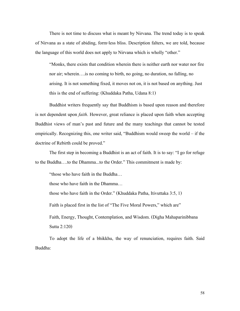There is not time to discuss what is meant by Nirvana. The trend today is to speak of Nirvana as a state of abiding, form-less bliss. Description falters, we are told, because the language of this world does not apply to Nirvana which is wholly "other."

"Monks, there exists that condition wherein there is neither earth nor water nor fire nor air; wherein….is no coming to birth, no going, no duration, no falling, no arising. It is not something fixed, it moves not on, it is not based on anything. Just this is the end of suffering: (Khuddaka Patha, Udana 8:1)

Buddhist writers frequently say that Buddhism is based upon reason and therefore is not dependent upon *faith*. However, great reliance is placed upon faith when accepting Buddhist views of man's past and future and the many teachings that cannot be tested empirically. Recognizing this, one writer said, "Buddhism would sweep the world – if the doctrine of Rebirth could be proved."

The first step in becoming a Buddhist is an act of faith. It is to say: "I go for refuge to the Buddha….to the Dhamma...to the Order." This commitment is made by:

"those who have faith in the Buddha…

those who have faith in the Dhamma…

those who have faith in the Order." (Khuddaka Patha, Itivuttaka 3:5, 1)

Faith is placed first in the list of "The Five Moral Powers," which are"

Faith, Energy, Thought, Contemplation, and Wisdom. (Digha Mahaparinibbana Sutta 2:120)

To adopt the life of a bhikkhu, the way of renunciation, requires faith. Said Buddha: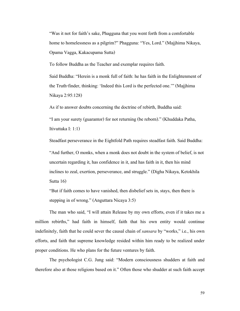"Was it not for faith's sake, Phagguna that you went forth from a comfortable home to homelessness as a pilgrim?" Phagguna: "Yes, Lord." (Majjhima Nikaya, Opama Vagga, Kakacupama Sutta)

To follow Buddha as the Teacher and exemplar requires faith.

Said Buddha: "Herein is a monk full of faith: he has faith in the Enlightenment of the Truth-finder, thinking: 'Indeed this Lord is the perfected one.'" (Majjhima Nikaya 2:95:128)

As if to answer doubts concerning the doctrine of rebirth, Buddha said:

"I am your surety (guarantor) for not returning (be reborn)." (Khuddaka Patha, Itivuttaka I: 1:1)

Steadfast perseverance in the Eightfold Path requires steadfast faith. Said Buddha: "And further, O monks, when a monk does not doubt in the system of belief, is not uncertain regarding it, has confidence in it, and has faith in it, then his mind inclines to zeal, exertion, perseverance, and struggle." (Digha Nikaya, Ketokhila Sutta 16)

"But if faith comes to have vanished, then disbelief sets in, stays, then there is stepping in of wrong." (Anguttara Nicaya 3:5)

The man who said, "I will attain Release by my own efforts, even if it takes me a million rebirths," had faith in himself, faith that his own entity would continue indefinitely, faith that he could sever the causal chain of *sansara* by "works," i.e., his own efforts, and faith that supreme knowledge resided within him ready to be realized under proper conditions. He who plans for the future ventures by faith.

The psychologist C.G. Jung said: "Modern consciousness shudders at faith and therefore also at those religions based on it." Often those who shudder at such faith accept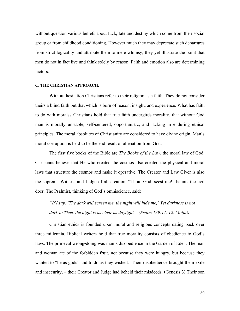without question various beliefs about luck, fate and destiny which come from their social group or from childhood conditioning. However much they may deprecate such departures from strict logicality and attribute them to mere whimsy, they yet illustrate the point that men do not in fact live and think solely by reason. Faith and emotion also are determining factors.

#### <span id="page-59-0"></span>**C. THE CHRISTIAN APPROACH.**

Without hesitation Christians refer to their religion as a faith. They do not consider theirs a blind faith but that which is born of reason, insight, and experience. What has faith to do with morals? Christians hold that true faith undergirds morality, that without God man is morally unstable, self-centered, opportunistic, and lacking in enduring ethical principles. The moral absolutes of Christianity are considered to have divine origin. Man's moral corruption is held to be the end result of alienation from God.

The first five books of the Bible are *The Books of the Law*, the moral law of God. Christians believe that He who created the cosmos also created the physical and moral laws that structure the cosmos and make it operative, The Creator and Law Giver is also the supreme Witness and Judge of all creation. "Thou, God, seest me!" haunts the evil doer. The Psalmist, thinking of God's omniscience, said:

*"If I say, 'The dark will screen me, the night will hide me,' Yet darkness is not*  dark to Thee, the night is as clear as daylight." (Psalm 139:11, 12. Moffat)

Christian ethics is founded upon moral and religious concepts dating back over three millennia. Biblical writers hold that true morality consists of obedience to God's laws. The primeval wrong-doing was man's disobedience in the Garden of Eden. The man and woman ate of the forbidden fruit, not because they were hungry, but because they wanted to "be as gods" and to do as they wished. Their disobedience brought them exile and insecurity, – their Creator and Judge had beheld their misdeeds. (Genesis 3) Their son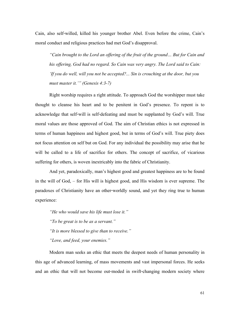Cain, also self-willed, killed his younger brother Abel. Even before the crime, Cain's moral conduct and religious practices had met God's disapproval.

*"Cain brought to the Lord an offering of the fruit of the ground… But for Cain and his offering, God had no regard. So Cain was very angry. The Lord said to Cain: 'If you do well, will you not be accepted?... Sin is crouching at the door, but you must master it.'" (Genesis 4:3-7)* 

Right worship requires a right attitude. To approach God the worshipper must take thought to cleanse his heart and to be penitent in God's presence. To repent is to acknowledge that self-will is self-defeating and must be supplanted by God's will. True moral values are those approved of God. The aim of Christian ethics is not expressed in terms of human happiness and highest good, but in terms of God's will. True piety does not focus attention on self but on God. For any individual the possibility may arise that he will be called to a life of sacrifice for others. The concept of sacrifice, of vicarious suffering for others, is woven inextricably into the fabric of Christianity.

And yet, paradoxically, man's highest good and greatest happiness are to be found in the will of God, – for His will is highest good, and His wisdom is ever supreme. The paradoxes of Christianity have an other-worldly sound, and yet they ring true to human experience:

*"He who would save his life must lose it." "To be great is to be as a servant." "It is more blessed to give than to receive." "Love, and feed, your enemies."* 

Modern man seeks an ethic that meets the deepest needs of human personality in this age of advanced learning, of mass movements and vast impersonal forces. He seeks and an ethic that will not become out-moded in swift-changing modern society where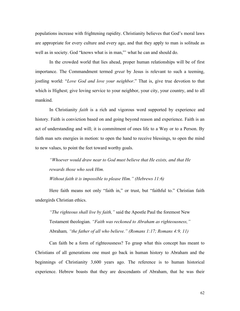populations increase with frightening rapidity. Christianity believes that God's moral laws are appropriate for every culture and every age, and that they apply to man is solitude as well as in society. God "knows what is in man,"' what he can and should do.

In the crowded world that lies ahead, proper human relationships will be of first importance. The Commandment termed *great* by Jesus is relevant to such a teeming, jostling world: "*Love God and love your neighbor*." That is, give true devotion to that which is Highest; give loving service to your neighbor, your city, your country, and to all mankind.

In Christianity *faith* is a rich and vigorous word supported by experience and history. Faith is conviction based on and going beyond reason and experience. Faith is an act of understanding and will; it is commitment of ones life to a Way or to a Person. By faith man sets energies in motion: to open the hand to receive blessings, to open the mind to new values, to point the feet toward worthy goals.

*"Whoever would draw near to God must believe that He exists, and that He rewards those who seek Him. Without faith it is impossible to please Him." (Hebrews 11:6)* 

Here faith means not only "faith in," or trust, but "faithful to." Christian faith undergirds Christian ethics.

*"The righteous shall live by faith,"* said the Apostle Paul the foremost New Testament theologian. *"Faith was reckoned to Abraham as righteousness,"*  Abraham*, "the father of all who believe." (Romans 1:17; Romans 4:9, 11)* 

Can faith be a form of righteousness? To grasp what this concept has meant to Christians of all generations one must go back in human history to Abraham and the beginnings of Christianity 3,600 years ago. The reference is to human historical experience. Hebrew boasts that they are descendants of Abraham, that he was their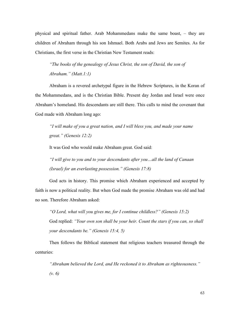physical and spiritual father. Arab Mohammedans make the same boast, – they are children of Abraham through his son Ishmael. Both Arabs and Jews are Semites. As for Christians, the first verse in the Christian New Testament reads:

*"The books of the genealogy of Jesus Christ, the son of David, the son of Abraham." (Matt.1:1)* 

Abraham is a revered archetypal figure in the Hebrew Scriptures, in the Koran of the Mohammedans, and is the Christian Bible. Present day Jordan and Israel were once Abraham's homeland. His descendants are still there. This calls to mind the covenant that God made with Abraham long ago:

*"I will make of you a great nation, and I will bless you, and made your name great." (Genesis 12:2)* 

It was God who would make Abraham great. God said:

*"I will give to you and to your descendants after you…all the land of Canaan (Israel) for an everlasting possession." (Genesis 17:8)* 

God acts in history. This promise which Abraham experienced and accepted by faith is now a political reality. But when God made the promise Abraham was old and had no son. Therefore Abraham asked:

*"O Lord, what will you gives me, for I continue childless?" (Genesis 15:2)*  God replied: *"Your own son shall be your heir. Count the stars if you can, so shall your descendants be." (Genesis 15:4, 5)* 

Then follows the Biblical statement that religious teachers treasured through the centuries:

*"Abraham believed the Lord, and He reckoned it to Abraham as righteousness." (v. 6)*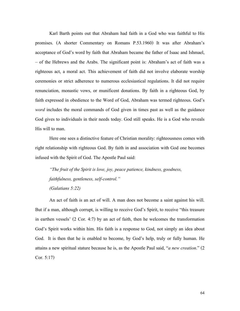Karl Barth points out that Abraham had faith in a God who was faithful to His promises. (A shorter Commentary on Romans P.53.1960) It was after Abraham's acceptance of God's word by faith that Abraham became the father of Isaac and Ishmael, – of the Hebrews and the Arabs. The significant point is: Abraham's act of faith was a righteous act, a moral act. This achievement of faith did not involve elaborate worship ceremonies or strict adherence to numerous ecclesiastical regulations. It did not require renunciation, monastic vows, or munificent donations. By faith in a righteous God, by faith expressed in obedience to the Word of God, Abraham was termed righteous. God's *word* includes the moral commands of God given in times past as well as the guidance God gives to individuals in their needs today. God still speaks. He is a God who reveals His will to man.

Here one sees a distinctive feature of Christian morality: righteousness comes with right relationship with righteous God. By faith in and association with God one becomes infused with the Spirit of God. The Apostle Paul said:

*"The fruit of the Spirit is love, joy, peace patience, kindness, goodness, faithfulness, gentleness, self-control." (Galatians 5:22)* 

An act of faith is an act of will. A man does not become a saint against his will. But if a man, although corrupt, is willing to receive God's Spirit, to receive "this treasure in earthen vessels' (2 Cor. 4:7) by an act of faith, then he welcomes the transformation God's Spirit works within him. His faith is a response to God, not simply an idea about God. It is then that he is enabled to become, by God's help, truly or fully human. He attains a new spiritual stature because he is, as the Apostle Paul said, "*a new creation*." (2 Cor. 5:17)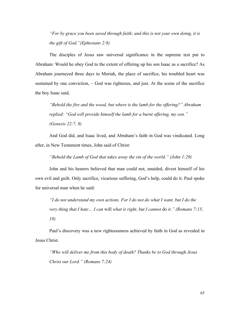*"For by grace you been saved through faith; and this is not your own doing, it is the gift of God."(Ephesians 2:8)* 

The disciples of Jesus saw universal significance in the supreme test put to Abraham: Would he obey God to the extent of offering up his son Isaac as a sacrifice? As Abraham journeyed three days to Moriah, the place of sacrifice, his troubled heart was sustained by one conviction, – God was righteous, and just. At the scene of the sacrifice the boy Isaac said,

*"Behold the fire and the wood, but where is the lamb for the offering?" Abraham replied: "God will provide himself the lamb for a burnt offering, my son." (Genesis 22:7, 8)* 

And God did, and Isaac lived, and Abraham's faith in God was vindicated. Long after, in New Testament times, John said of Christ:

*"Behold the Lamb of God that takes away the sin of the world." (John 1:29)* 

John and his hearers believed that man could not, unaided, divest himself of his own evil and guilt. Only sacrifice, vicarious suffering, God's help, could do it. Paul spoke for universal man when he said:

*"I do not understand my own actions. For I do not do what I want, but I do the very thing that I hate… I can* will *what is right, but I cannot* do *it." (Romans 7:15, 18)* 

Paul's discovery was a new righteousness achieved by faith in God as revealed in Jesus Christ.

*"Who will deliver me from this body of death? Thanks be to God through Jesus Christ our Lord." (Romans 7:24)*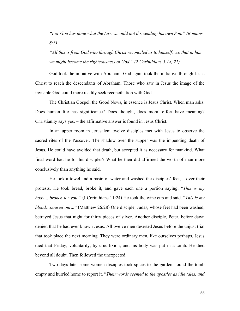*"For God has done what the Law….could not do, sending his own Son." (Romans 8:3)* 

*"All this is from God who through Christ reconciled us to himself…so that in him we might become the righteousness of God." (2 Corinthians 5:18, 21)* 

God took the initiative with Abraham. God again took the initiative through Jesus Christ to reach the descendants of Abraham. Those who saw in Jesus the image of the invisible God could more readily seek reconciliation with God.

The Christian Gospel, the Good News, in essence is Jesus Christ. When man asks: Does human life has significance? Does thought, does moral effort have meaning? Christianity says yes, – the affirmative answer is found in Jesus Christ.

In an upper room in Jerusalem twelve disciples met with Jesus to observe the sacred rites of the Passover. The shadow over the supper was the impending death of Jesus. He could have avoided that death, but accepted it as necessary for mankind. What final word had he for his disciples? What he then did affirmed the worth of man more conclusively than anything he said.

He took a towel and a basin of water and washed the disciples' feet, – over their protests. He took bread, broke it, and gave each one a portion saying: "*This is my body….broken for you."* (I Corinthians 11:24) He took the wine cup and said. "*This is my blood…poured out…*" (Matthew 26:28) One disciple, Judas, whose feet had been washed, betrayed Jesus that night for thirty pieces of silver. Another disciple, Peter, before dawn denied that he had ever known Jesus. All twelve men deserted Jesus before the unjust trial that took place the next morning. They were ordinary men, like ourselves perhaps. Jesus died that Friday, voluntarily, by crucifixion, and his body was put in a tomb. He died beyond all doubt. Then followed the unexpected.

Two days later some women disciples took spices to the garden, found the tomb empty and hurried home to report it. "*Their words seemed to the apostles as idle tales, and*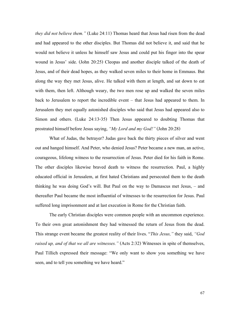*they did not believe them."* (Luke 24:11) Thomas heard that Jesus had risen from the dead and had appeared to the other disciples. But Thomas did not believe it, and said that he would not believe it unless he himself saw Jesus and could put his finger into the spear wound in Jesus' side. (John 20:25) Cleopas and another disciple talked of the death of Jesus, and of their dead hopes, as they walked seven miles to their home in Emmaus. But along the way they met Jesus, alive. He talked with them at length, and sat down to eat with them, then left. Although weary, the two men rose up and walked the seven miles back to Jerusalem to report the incredible event – that Jesus had appeared to them. In Jerusalem they met equally astonished disciples who said that Jesus had appeared also to Simon and others. (Luke 24:13-35) Then Jesus appeared to doubting Thomas that prostrated himself before Jesus saying, *"My Lord and my God!"* (John 20:28)

What of Judas, the betrayer? Judas gave back the thirty pieces of silver and went out and hanged himself. And Peter, who denied Jesus? Peter became a new man, an active, courageous, lifelong witness to the resurrection of Jesus. Peter died for his faith in Rome. The other disciples likewise braved death to witness the resurrection. Paul, a highly educated official in Jerusalem, at first hated Christians and persecuted them to the death thinking he was doing God's will. But Paul on the way to Damascus met Jesus, – and thereafter Paul became the most influential of witnesses to the resurrection for Jesus. Paul suffered long imprisonment and at last execution in Rome for the Christian faith.

The early Christian disciples were common people with an uncommon experience. To their own great astonishment they had witnessed the return of Jesus from the dead. This strange event became the greatest reality of their lives. "*This Jesus,"* they said, *"God raised up, and of that we all are witnesses."* (Acts 2:32) Witnesses in spite of themselves, Paul Tillich expressed their message: "We only want to show you something we have seen, and to tell you something we have heard."